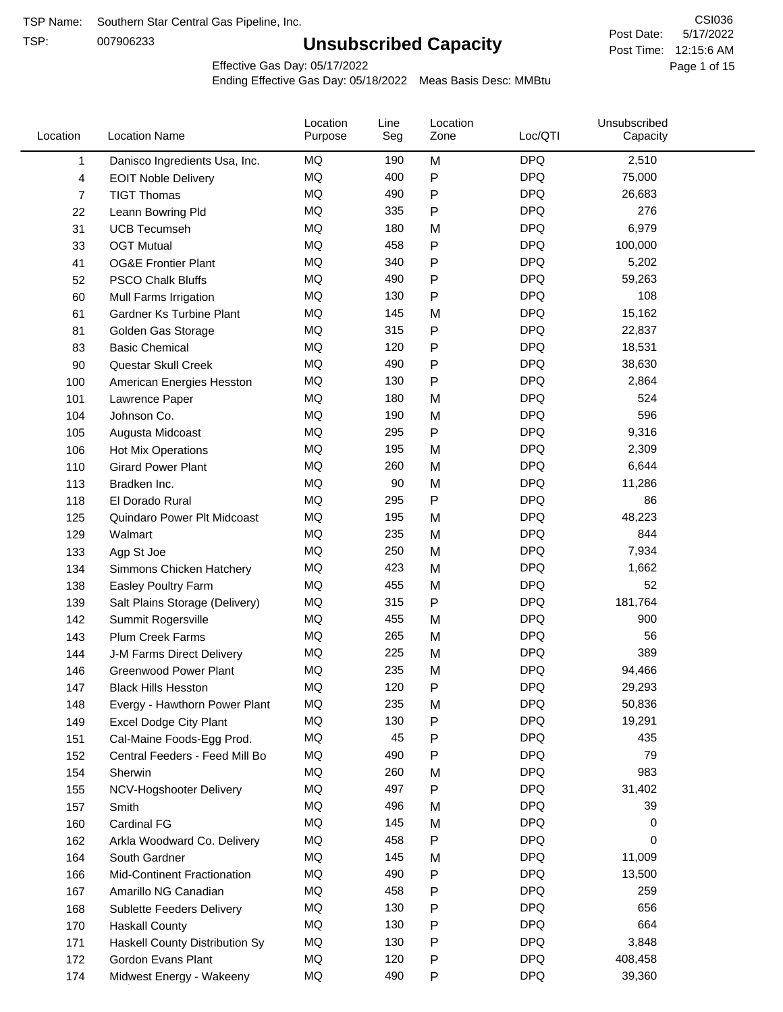TSP:

# **Unsubscribed Capacity**

5/17/2022 Page 1 of 15 Post Time: 12:15:6 AM CSI036 Post Date:

Effective Gas Day: 05/17/2022

| Location | <b>Location Name</b>               | Location<br>Purpose | Line<br>Seg | Location<br>Zone | Loc/QTI    | Unsubscribed<br>Capacity |  |
|----------|------------------------------------|---------------------|-------------|------------------|------------|--------------------------|--|
| 1        | Danisco Ingredients Usa, Inc.      | MQ                  | 190         | M                | <b>DPQ</b> | 2,510                    |  |
| 4        | <b>EOIT Noble Delivery</b>         | MQ                  | 400         | P                | <b>DPQ</b> | 75,000                   |  |
| 7        | <b>TIGT Thomas</b>                 | <b>MQ</b>           | 490         | P                | <b>DPQ</b> | 26,683                   |  |
| 22       | Leann Bowring Pld                  | <b>MQ</b>           | 335         | P                | <b>DPQ</b> | 276                      |  |
| 31       | <b>UCB Tecumseh</b>                | <b>MQ</b>           | 180         | M                | <b>DPQ</b> | 6,979                    |  |
| 33       | <b>OGT Mutual</b>                  | <b>MQ</b>           | 458         | P                | <b>DPQ</b> | 100,000                  |  |
| 41       | <b>OG&amp;E Frontier Plant</b>     | MQ                  | 340         | P                | <b>DPQ</b> | 5,202                    |  |
| 52       | <b>PSCO Chalk Bluffs</b>           | MQ                  | 490         | P                | <b>DPQ</b> | 59,263                   |  |
| 60       | Mull Farms Irrigation              | MQ                  | 130         | P                | <b>DPQ</b> | 108                      |  |
| 61       | Gardner Ks Turbine Plant           | <b>MQ</b>           | 145         | M                | <b>DPQ</b> | 15,162                   |  |
| 81       | Golden Gas Storage                 | MQ                  | 315         | P                | <b>DPQ</b> | 22,837                   |  |
| 83       | <b>Basic Chemical</b>              | <b>MQ</b>           | 120         | P                | <b>DPQ</b> | 18,531                   |  |
| 90       | Questar Skull Creek                | MQ                  | 490         | P                | <b>DPQ</b> | 38,630                   |  |
| 100      | American Energies Hesston          | <b>MQ</b>           | 130         | P                | <b>DPQ</b> | 2,864                    |  |
| 101      | Lawrence Paper                     | <b>MQ</b>           | 180         | M                | <b>DPQ</b> | 524                      |  |
| 104      | Johnson Co.                        | MQ                  | 190         | M                | <b>DPQ</b> | 596                      |  |
| 105      | Augusta Midcoast                   | <b>MQ</b>           | 295         | P                | <b>DPQ</b> | 9,316                    |  |
| 106      | Hot Mix Operations                 | MQ                  | 195         | M                | <b>DPQ</b> | 2,309                    |  |
| 110      | <b>Girard Power Plant</b>          | <b>MQ</b>           | 260         | M                | <b>DPQ</b> | 6,644                    |  |
| 113      | Bradken Inc.                       | MQ                  | 90          | M                | <b>DPQ</b> | 11,286                   |  |
| 118      | El Dorado Rural                    | MQ                  | 295         | P                | <b>DPQ</b> | 86                       |  |
| 125      | Quindaro Power Plt Midcoast        | MQ                  | 195         | M                | <b>DPQ</b> | 48,223                   |  |
| 129      | Walmart                            | <b>MQ</b>           | 235         | M                | <b>DPQ</b> | 844                      |  |
| 133      | Agp St Joe                         | <b>MQ</b>           | 250         | M                | <b>DPQ</b> | 7,934                    |  |
| 134      | Simmons Chicken Hatchery           | MQ                  | 423         | M                | <b>DPQ</b> | 1,662                    |  |
| 138      | Easley Poultry Farm                | MQ                  | 455         | M                | <b>DPQ</b> | 52                       |  |
| 139      | Salt Plains Storage (Delivery)     | <b>MQ</b>           | 315         | P                | <b>DPQ</b> | 181,764                  |  |
| 142      | Summit Rogersville                 | MQ                  | 455         | M                | <b>DPQ</b> | 900                      |  |
| 143      | <b>Plum Creek Farms</b>            | MQ                  | 265         | M                | <b>DPQ</b> | 56                       |  |
| 144      | J-M Farms Direct Delivery          | MQ                  | 225         | M                | <b>DPQ</b> | 389                      |  |
| 146      | <b>Greenwood Power Plant</b>       | <b>MQ</b>           | 235         | M                | <b>DPQ</b> | 94,466                   |  |
| 147      | <b>Black Hills Hesston</b>         | MQ                  | 120         | P                | <b>DPQ</b> | 29,293                   |  |
| 148      | Evergy - Hawthorn Power Plant      | ΜQ                  | 235         | M                | <b>DPQ</b> | 50,836                   |  |
| 149      | <b>Excel Dodge City Plant</b>      | MQ                  | 130         | Ρ                | <b>DPQ</b> | 19,291                   |  |
| 151      | Cal-Maine Foods-Egg Prod.          | MQ                  | 45          | P                | <b>DPQ</b> | 435                      |  |
| 152      | Central Feeders - Feed Mill Bo     | MQ                  | 490         | Ρ                | <b>DPQ</b> | 79                       |  |
| 154      | Sherwin                            | MQ                  | 260         | M                | <b>DPQ</b> | 983                      |  |
| 155      | NCV-Hogshooter Delivery            | MQ                  | 497         | Ρ                | <b>DPQ</b> | 31,402                   |  |
| 157      | Smith                              | MQ                  | 496         | M                | <b>DPQ</b> | 39                       |  |
| 160      | <b>Cardinal FG</b>                 | MQ                  | 145         | M                | <b>DPQ</b> | 0                        |  |
| 162      | Arkla Woodward Co. Delivery        | MQ                  | 458         | P                | <b>DPQ</b> | 0                        |  |
| 164      | South Gardner                      | MQ                  | 145         | M                | <b>DPQ</b> | 11,009                   |  |
| 166      | <b>Mid-Continent Fractionation</b> | MQ                  | 490         | Ρ                | <b>DPQ</b> | 13,500                   |  |
| 167      | Amarillo NG Canadian               | MQ                  | 458         | Ρ                | <b>DPQ</b> | 259                      |  |
| 168      | Sublette Feeders Delivery          | MQ                  | 130         | Ρ                | <b>DPQ</b> | 656                      |  |
| 170      | <b>Haskall County</b>              | MQ                  | 130         | P                | <b>DPQ</b> | 664                      |  |
| 171      | Haskell County Distribution Sy     | MQ                  | 130         | Ρ                | <b>DPQ</b> | 3,848                    |  |
| 172      | Gordon Evans Plant                 | MQ                  | 120         | Ρ                | <b>DPQ</b> | 408,458                  |  |
| 174      | Midwest Energy - Wakeeny           | MQ                  | 490         | P                | <b>DPQ</b> | 39,360                   |  |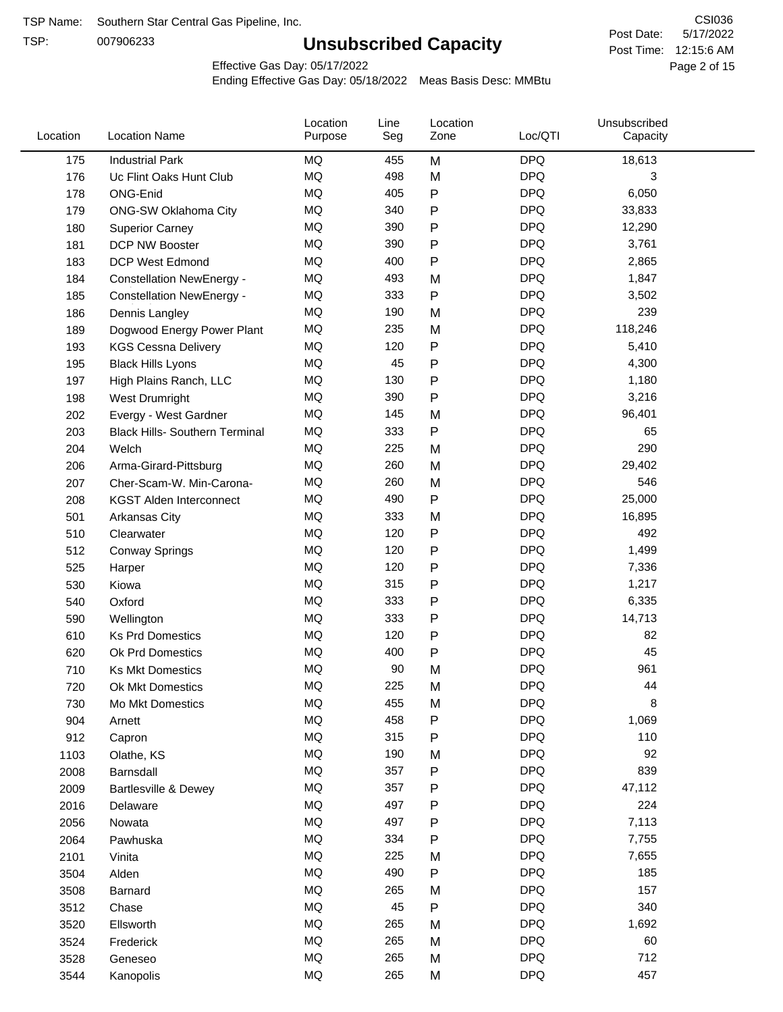TSP:

# **Unsubscribed Capacity**

5/17/2022 Page 2 of 15 Post Time: 12:15:6 AM CSI036 Post Date:

Effective Gas Day: 05/17/2022

| Location | <b>Location Name</b>                  | Location<br>Purpose | Line<br>Seg | Location<br>Zone | Loc/QTI    | Unsubscribed<br>Capacity |  |
|----------|---------------------------------------|---------------------|-------------|------------------|------------|--------------------------|--|
| 175      | <b>Industrial Park</b>                | MQ                  | 455         | M                | <b>DPQ</b> | 18,613                   |  |
| 176      | Uc Flint Oaks Hunt Club               | MQ                  | 498         | M                | <b>DPQ</b> | 3                        |  |
| 178      | ONG-Enid                              | MQ                  | 405         | ${\sf P}$        | <b>DPQ</b> | 6,050                    |  |
| 179      | ONG-SW Oklahoma City                  | <b>MQ</b>           | 340         | P                | <b>DPQ</b> | 33,833                   |  |
| 180      | <b>Superior Carney</b>                | MQ                  | 390         | ${\sf P}$        | <b>DPQ</b> | 12,290                   |  |
| 181      | DCP NW Booster                        | <b>MQ</b>           | 390         | P                | <b>DPQ</b> | 3,761                    |  |
| 183      | <b>DCP West Edmond</b>                | <b>MQ</b>           | 400         | P                | <b>DPQ</b> | 2,865                    |  |
| 184      | <b>Constellation NewEnergy -</b>      | MQ                  | 493         | M                | <b>DPQ</b> | 1,847                    |  |
| 185      | <b>Constellation NewEnergy -</b>      | MQ                  | 333         | $\mathsf{P}$     | <b>DPQ</b> | 3,502                    |  |
| 186      | Dennis Langley                        | MQ                  | 190         | M                | <b>DPQ</b> | 239                      |  |
| 189      | Dogwood Energy Power Plant            | MQ                  | 235         | M                | <b>DPQ</b> | 118,246                  |  |
| 193      | <b>KGS Cessna Delivery</b>            | <b>MQ</b>           | 120         | ${\sf P}$        | <b>DPQ</b> | 5,410                    |  |
| 195      | <b>Black Hills Lyons</b>              | MQ                  | 45          | P                | <b>DPQ</b> | 4,300                    |  |
| 197      | High Plains Ranch, LLC                | <b>MQ</b>           | 130         | P                | <b>DPQ</b> | 1,180                    |  |
| 198      | West Drumright                        | <b>MQ</b>           | 390         | P                | <b>DPQ</b> | 3,216                    |  |
| 202      | Evergy - West Gardner                 | <b>MQ</b>           | 145         | M                | <b>DPQ</b> | 96,401                   |  |
| 203      | <b>Black Hills- Southern Terminal</b> | MQ                  | 333         | P                | <b>DPQ</b> | 65                       |  |
| 204      | Welch                                 | MQ                  | 225         | M                | <b>DPQ</b> | 290                      |  |
| 206      | Arma-Girard-Pittsburg                 | MQ                  | 260         | M                | <b>DPQ</b> | 29,402                   |  |
| 207      | Cher-Scam-W. Min-Carona-              | MQ                  | 260         | M                | <b>DPQ</b> | 546                      |  |
| 208      | <b>KGST Alden Interconnect</b>        | MQ                  | 490         | P                | <b>DPQ</b> | 25,000                   |  |
| 501      | <b>Arkansas City</b>                  | MQ                  | 333         | M                | <b>DPQ</b> | 16,895                   |  |
| 510      | Clearwater                            | <b>MQ</b>           | 120         | $\mathsf{P}$     | <b>DPQ</b> | 492                      |  |
| 512      | <b>Conway Springs</b>                 | <b>MQ</b>           | 120         | ${\sf P}$        | <b>DPQ</b> | 1,499                    |  |
| 525      | Harper                                | <b>MQ</b>           | 120         | P                | <b>DPQ</b> | 7,336                    |  |
| 530      | Kiowa                                 | MQ                  | 315         | P                | <b>DPQ</b> | 1,217                    |  |
| 540      | Oxford                                | MQ                  | 333         | P                | <b>DPQ</b> | 6,335                    |  |
| 590      | Wellington                            | <b>MQ</b>           | 333         | P                | <b>DPQ</b> | 14,713                   |  |
| 610      | <b>Ks Prd Domestics</b>               | <b>MQ</b>           | 120         | P                | <b>DPQ</b> | 82                       |  |
| 620      | Ok Prd Domestics                      | MQ                  | 400         | ${\sf P}$        | <b>DPQ</b> | 45                       |  |
| 710      | <b>Ks Mkt Domestics</b>               | <b>MQ</b>           | 90          | M                | <b>DPQ</b> | 961                      |  |
| 720      | Ok Mkt Domestics                      | MQ                  | 225         | M                | <b>DPQ</b> | 44                       |  |
| 730      | Mo Mkt Domestics                      | MQ                  | 455         | M                | <b>DPQ</b> | 8                        |  |
| 904      | Arnett                                | $\sf{MQ}$           | 458         | P                | <b>DPQ</b> | 1,069                    |  |
| 912      | Capron                                | $\sf{MQ}$           | 315         | ${\sf P}$        | <b>DPQ</b> | 110                      |  |
| 1103     | Olathe, KS                            | $\sf{MQ}$           | 190         | M                | <b>DPQ</b> | 92                       |  |
| 2008     | Barnsdall                             | MQ                  | 357         | P                | <b>DPQ</b> | 839                      |  |
| 2009     | Bartlesville & Dewey                  | MQ                  | 357         | P                | <b>DPQ</b> | 47,112                   |  |
| 2016     | Delaware                              | MQ                  | 497         | $\mathsf{P}$     | <b>DPQ</b> | 224                      |  |
| 2056     | Nowata                                | $\sf{MQ}$           | 497         | P                | <b>DPQ</b> | 7,113                    |  |
| 2064     | Pawhuska                              | MQ                  | 334         | $\mathsf{P}$     | <b>DPQ</b> | 7,755                    |  |
| 2101     | Vinita                                | MQ                  | 225         | M                | <b>DPQ</b> | 7,655                    |  |
| 3504     | Alden                                 | MQ                  | 490         | ${\sf P}$        | <b>DPQ</b> | 185                      |  |
| 3508     | Barnard                               | $\sf{MQ}$           | 265         | M                | <b>DPQ</b> | 157                      |  |
| 3512     | Chase                                 | MQ                  | 45          | ${\sf P}$        | <b>DPQ</b> | 340                      |  |
| 3520     | Ellsworth                             | MQ                  | 265         | M                | <b>DPQ</b> | 1,692                    |  |
| 3524     | Frederick                             | MQ                  | 265         | M                | <b>DPQ</b> | 60                       |  |
| 3528     | Geneseo                               | $\sf{MQ}$           | 265         | M                | <b>DPQ</b> | 712                      |  |
| 3544     | Kanopolis                             | $\sf{MQ}$           | 265         | M                | <b>DPQ</b> | 457                      |  |
|          |                                       |                     |             |                  |            |                          |  |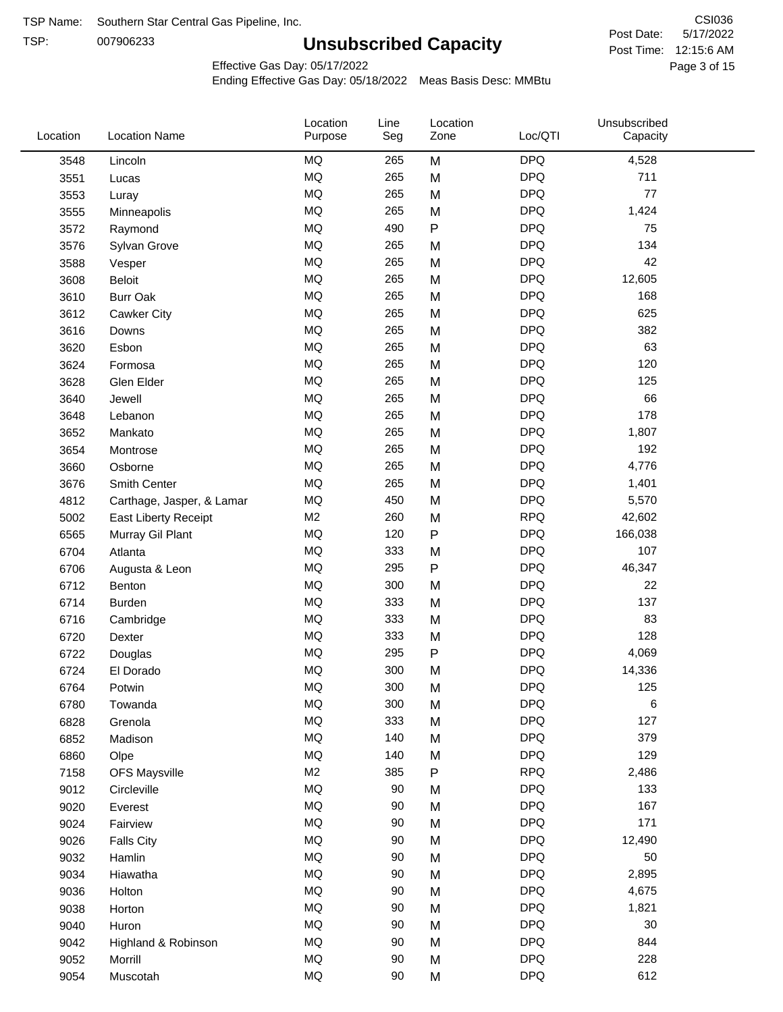TSP: 

# **Unsubscribed Capacity**

5/17/2022 Page 3 of 15 Post Time: 12:15:6 AM CSI036 Post Date:

Effective Gas Day: 05/17/2022

| Location | <b>Location Name</b>        | Location<br>Purpose | Line<br>Seg | Location<br>Zone | Loc/QTI    | Unsubscribed<br>Capacity |  |
|----------|-----------------------------|---------------------|-------------|------------------|------------|--------------------------|--|
| 3548     | Lincoln                     | <b>MQ</b>           | 265         | M                | <b>DPQ</b> | 4,528                    |  |
| 3551     | Lucas                       | MQ                  | 265         | M                | <b>DPQ</b> | 711                      |  |
| 3553     | Luray                       | <b>MQ</b>           | 265         | M                | <b>DPQ</b> | 77                       |  |
| 3555     | Minneapolis                 | <b>MQ</b>           | 265         | M                | <b>DPQ</b> | 1,424                    |  |
| 3572     | Raymond                     | <b>MQ</b>           | 490         | P                | <b>DPQ</b> | 75                       |  |
| 3576     | Sylvan Grove                | MQ                  | 265         | M                | <b>DPQ</b> | 134                      |  |
| 3588     | Vesper                      | MQ                  | 265         | M                | <b>DPQ</b> | 42                       |  |
| 3608     | Beloit                      | MQ                  | 265         | M                | <b>DPQ</b> | 12,605                   |  |
| 3610     | <b>Burr Oak</b>             | MQ                  | 265         | M                | <b>DPQ</b> | 168                      |  |
| 3612     | Cawker City                 | MQ                  | 265         | M                | <b>DPQ</b> | 625                      |  |
| 3616     | Downs                       | MQ                  | 265         | M                | <b>DPQ</b> | 382                      |  |
| 3620     | Esbon                       | <b>MQ</b>           | 265         | M                | <b>DPQ</b> | 63                       |  |
| 3624     | Formosa                     | <b>MQ</b>           | 265         | M                | <b>DPQ</b> | 120                      |  |
| 3628     | Glen Elder                  | <b>MQ</b>           | 265         | M                | <b>DPQ</b> | 125                      |  |
| 3640     | Jewell                      | MQ                  | 265         | M                | <b>DPQ</b> | 66                       |  |
| 3648     | Lebanon                     | MQ                  | 265         | M                | <b>DPQ</b> | 178                      |  |
| 3652     | Mankato                     | MQ                  | 265         | M                | <b>DPQ</b> | 1,807                    |  |
| 3654     | Montrose                    | MQ                  | 265         | M                | <b>DPQ</b> | 192                      |  |
| 3660     | Osborne                     | MQ                  | 265         | M                | <b>DPQ</b> | 4,776                    |  |
| 3676     | Smith Center                | MQ                  | 265         | M                | <b>DPQ</b> | 1,401                    |  |
| 4812     | Carthage, Jasper, & Lamar   | <b>MQ</b>           | 450         | M                | <b>DPQ</b> | 5,570                    |  |
| 5002     | <b>East Liberty Receipt</b> | M <sub>2</sub>      | 260         | M                | <b>RPQ</b> | 42,602                   |  |
| 6565     | Murray Gil Plant            | <b>MQ</b>           | 120         | P                | <b>DPQ</b> | 166,038                  |  |
| 6704     | Atlanta                     | <b>MQ</b>           | 333         | M                | <b>DPQ</b> | 107                      |  |
| 6706     | Augusta & Leon              | MQ                  | 295         | ${\sf P}$        | <b>DPQ</b> | 46,347                   |  |
| 6712     | Benton                      | MQ                  | 300         | M                | <b>DPQ</b> | 22                       |  |
| 6714     | <b>Burden</b>               | MQ                  | 333         | M                | <b>DPQ</b> | 137                      |  |
| 6716     | Cambridge                   | MQ                  | 333         | M                | <b>DPQ</b> | 83                       |  |
| 6720     | Dexter                      | MQ                  | 333         | M                | <b>DPQ</b> | 128                      |  |
| 6722     | Douglas                     | <b>MQ</b>           | 295         | P                | <b>DPQ</b> | 4,069                    |  |
| 6724     | El Dorado                   | <b>MQ</b>           | 300         | M                | <b>DPQ</b> | 14,336                   |  |
| 6764     | Potwin                      | <b>MQ</b>           | 300         | M                | <b>DPQ</b> | 125                      |  |
| 6780     | Towanda                     | MQ                  | 300         | M                | <b>DPQ</b> | 6                        |  |
| 6828     | Grenola                     | MQ                  | 333         | M                | <b>DPQ</b> | 127                      |  |
| 6852     | Madison                     | MQ                  | 140         | M                | <b>DPQ</b> | 379                      |  |
| 6860     | Olpe                        | MQ                  | 140         | M                | <b>DPQ</b> | 129                      |  |
| 7158     | <b>OFS Maysville</b>        | M2                  | 385         | P                | <b>RPQ</b> | 2,486                    |  |
| 9012     | Circleville                 | MQ                  | 90          | M                | <b>DPQ</b> | 133                      |  |
| 9020     | Everest                     | MQ                  | 90          | M                | <b>DPQ</b> | 167                      |  |
| 9024     | Fairview                    | $\sf{MQ}$           | 90          | M                | <b>DPQ</b> | 171                      |  |
| 9026     | <b>Falls City</b>           | MQ                  | 90          | M                | <b>DPQ</b> | 12,490                   |  |
| 9032     | Hamlin                      | MQ                  | 90          | M                | <b>DPQ</b> | 50                       |  |
| 9034     | Hiawatha                    | MQ                  | 90          | M                | <b>DPQ</b> | 2,895                    |  |
| 9036     | Holton                      | MQ                  | 90          | M                | <b>DPQ</b> | 4,675                    |  |
| 9038     | Horton                      | MQ                  | 90          | M                | <b>DPQ</b> | 1,821                    |  |
| 9040     | Huron                       | MQ                  | 90          | M                | <b>DPQ</b> | 30                       |  |
| 9042     | Highland & Robinson         | MQ                  | 90          | M                | <b>DPQ</b> | 844                      |  |
| 9052     | Morrill                     | MQ                  | 90          | M                | <b>DPQ</b> | 228                      |  |
| 9054     | Muscotah                    | $\sf{MQ}$           | 90          | M                | <b>DPQ</b> | 612                      |  |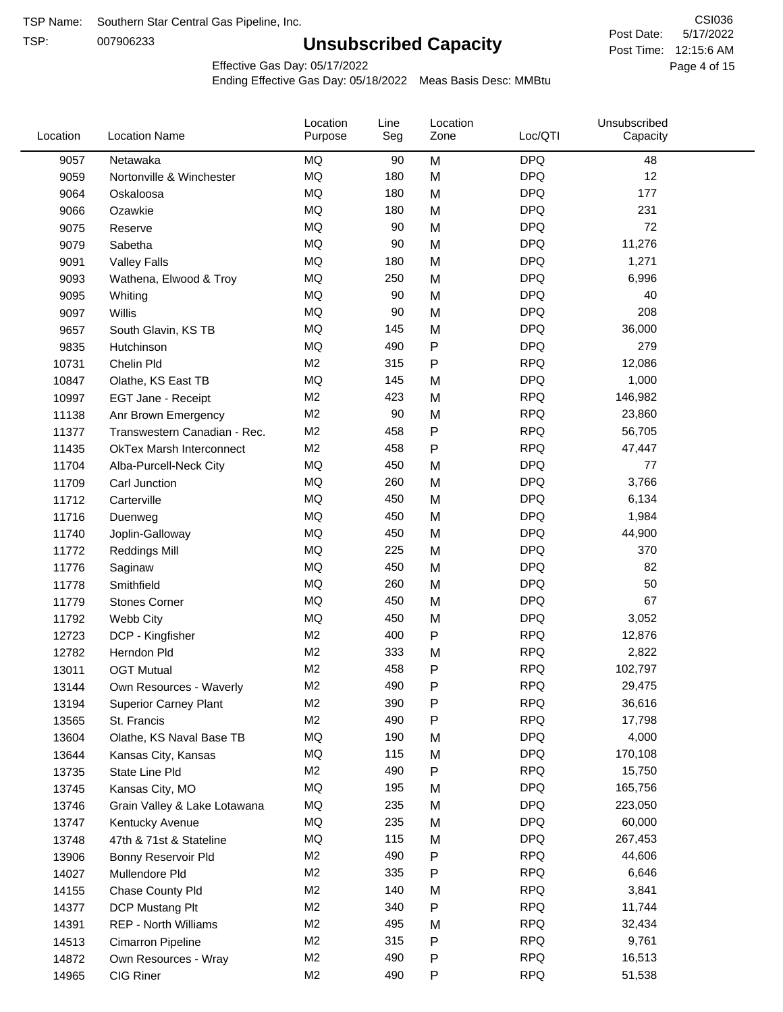TSP:

# **Unsubscribed Capacity**

5/17/2022 Page 4 of 15 Post Time: 12:15:6 AM CSI036 Post Date:

Effective Gas Day: 05/17/2022

| Location | <b>Location Name</b>            | Location<br>Purpose | Line<br>Seg | Location<br>Zone | Loc/QTI    | Unsubscribed<br>Capacity |  |
|----------|---------------------------------|---------------------|-------------|------------------|------------|--------------------------|--|
| 9057     | Netawaka                        | <b>MQ</b>           | 90          | M                | <b>DPQ</b> | 48                       |  |
| 9059     | Nortonville & Winchester        | <b>MQ</b>           | 180         | M                | <b>DPQ</b> | 12                       |  |
| 9064     | Oskaloosa                       | MQ                  | 180         | M                | <b>DPQ</b> | 177                      |  |
| 9066     | Ozawkie                         | <b>MQ</b>           | 180         | M                | <b>DPQ</b> | 231                      |  |
| 9075     | Reserve                         | <b>MQ</b>           | 90          | M                | <b>DPQ</b> | 72                       |  |
| 9079     | Sabetha                         | <b>MQ</b>           | 90          | M                | <b>DPQ</b> | 11,276                   |  |
| 9091     | <b>Valley Falls</b>             | <b>MQ</b>           | 180         | M                | <b>DPQ</b> | 1,271                    |  |
| 9093     | Wathena, Elwood & Troy          | <b>MQ</b>           | 250         | M                | <b>DPQ</b> | 6,996                    |  |
| 9095     | Whiting                         | MQ                  | 90          | M                | <b>DPQ</b> | 40                       |  |
| 9097     | Willis                          | <b>MQ</b>           | 90          | M                | <b>DPQ</b> | 208                      |  |
| 9657     | South Glavin, KS TB             | <b>MQ</b>           | 145         | M                | <b>DPQ</b> | 36,000                   |  |
| 9835     | Hutchinson                      | MQ                  | 490         | P                | <b>DPQ</b> | 279                      |  |
| 10731    | Chelin Pld                      | M <sub>2</sub>      | 315         | P                | <b>RPQ</b> | 12,086                   |  |
| 10847    | Olathe, KS East TB              | <b>MQ</b>           | 145         | M                | <b>DPQ</b> | 1,000                    |  |
| 10997    | EGT Jane - Receipt              | M <sub>2</sub>      | 423         | M                | <b>RPQ</b> | 146,982                  |  |
| 11138    | Anr Brown Emergency             | M <sub>2</sub>      | 90          | M                | <b>RPQ</b> | 23,860                   |  |
| 11377    | Transwestern Canadian - Rec.    | M <sub>2</sub>      | 458         | P                | <b>RPQ</b> | 56,705                   |  |
| 11435    | <b>OkTex Marsh Interconnect</b> | M <sub>2</sub>      | 458         | Ρ                | <b>RPQ</b> | 47,447                   |  |
| 11704    | Alba-Purcell-Neck City          | <b>MQ</b>           | 450         | M                | <b>DPQ</b> | 77                       |  |
| 11709    | Carl Junction                   | <b>MQ</b>           | 260         | M                | <b>DPQ</b> | 3,766                    |  |
| 11712    | Carterville                     | <b>MQ</b>           | 450         | M                | <b>DPQ</b> | 6,134                    |  |
| 11716    | Duenweg                         | <b>MQ</b>           | 450         | M                | <b>DPQ</b> | 1,984                    |  |
| 11740    | Joplin-Galloway                 | <b>MQ</b>           | 450         | M                | <b>DPQ</b> | 44,900                   |  |
| 11772    | <b>Reddings Mill</b>            | <b>MQ</b>           | 225         | M                | <b>DPQ</b> | 370                      |  |
| 11776    | Saginaw                         | <b>MQ</b>           | 450         | M                | <b>DPQ</b> | 82                       |  |
| 11778    | Smithfield                      | <b>MQ</b>           | 260         | M                | <b>DPQ</b> | 50                       |  |
| 11779    | <b>Stones Corner</b>            | <b>MQ</b>           | 450         | M                | <b>DPQ</b> | 67                       |  |
| 11792    | Webb City                       | <b>MQ</b>           | 450         | M                | <b>DPQ</b> | 3,052                    |  |
| 12723    | DCP - Kingfisher                | M <sub>2</sub>      | 400         | P                | <b>RPQ</b> | 12,876                   |  |
| 12782    | Herndon Pld                     | M <sub>2</sub>      | 333         | M                | <b>RPQ</b> | 2,822                    |  |
| 13011    | <b>OGT Mutual</b>               | M <sub>2</sub>      | 458         | Ρ                | <b>RPQ</b> | 102,797                  |  |
| 13144    | Own Resources - Waverly         | M <sub>2</sub>      | 490         | P                | <b>RPQ</b> | 29,475                   |  |
| 13194    | <b>Superior Carney Plant</b>    | M <sub>2</sub>      | 390         | P                | <b>RPQ</b> | 36,616                   |  |
| 13565    | St. Francis                     | M <sub>2</sub>      | 490         | Ρ                | <b>RPQ</b> | 17,798                   |  |
| 13604    | Olathe, KS Naval Base TB        | MQ                  | 190         | M                | <b>DPQ</b> | 4,000                    |  |
| 13644    | Kansas City, Kansas             | MQ                  | 115         | M                | <b>DPQ</b> | 170,108                  |  |
| 13735    | State Line Pld                  | M <sub>2</sub>      | 490         | P                | <b>RPQ</b> | 15,750                   |  |
| 13745    | Kansas City, MO                 | MQ                  | 195         | M                | <b>DPQ</b> | 165,756                  |  |
| 13746    | Grain Valley & Lake Lotawana    | MQ                  | 235         | M                | <b>DPQ</b> | 223,050                  |  |
| 13747    | Kentucky Avenue                 | MQ                  | 235         | M                | <b>DPQ</b> | 60,000                   |  |
| 13748    | 47th & 71st & Stateline         | MQ                  | 115         | M                | <b>DPQ</b> | 267,453                  |  |
| 13906    | Bonny Reservoir Pld             | M <sub>2</sub>      | 490         | Ρ                | <b>RPQ</b> | 44,606                   |  |
| 14027    | Mullendore Pld                  | M <sub>2</sub>      | 335         | P                | <b>RPQ</b> | 6,646                    |  |
| 14155    | Chase County Pld                | M <sub>2</sub>      | 140         | M                | <b>RPQ</b> | 3,841                    |  |
| 14377    | DCP Mustang Plt                 | M <sub>2</sub>      | 340         | Ρ                | <b>RPQ</b> | 11,744                   |  |
| 14391    | <b>REP - North Williams</b>     | M <sub>2</sub>      | 495         | M                | <b>RPQ</b> | 32,434                   |  |
| 14513    | Cimarron Pipeline               | M <sub>2</sub>      | 315         | P                | <b>RPQ</b> | 9,761                    |  |
| 14872    | Own Resources - Wray            | M <sub>2</sub>      | 490         | P                | <b>RPQ</b> | 16,513                   |  |
| 14965    | CIG Riner                       | M <sub>2</sub>      | 490         | P                | <b>RPQ</b> | 51,538                   |  |
|          |                                 |                     |             |                  |            |                          |  |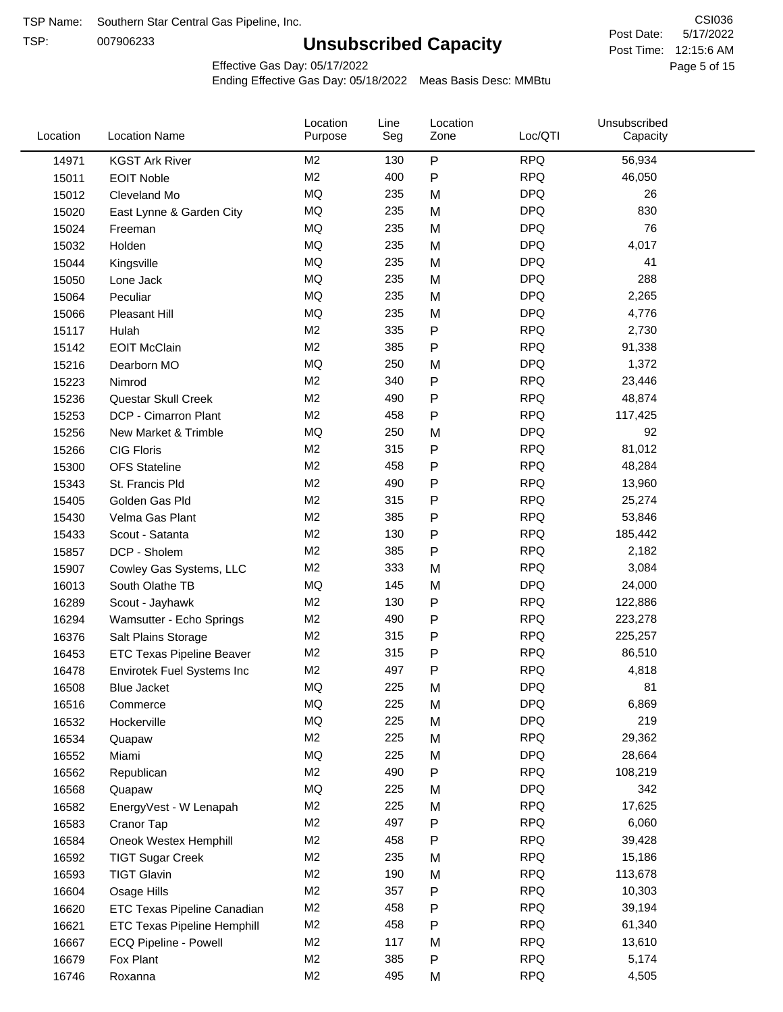TSP:

# **Unsubscribed Capacity**

5/17/2022 Page 5 of 15 Post Time: 12:15:6 AM CSI036 Post Date:

Effective Gas Day: 05/17/2022

| Location | <b>Location Name</b>               | Location<br>Purpose | Line<br>Seg | Location<br>Zone | Loc/QTI    | Unsubscribed<br>Capacity |  |
|----------|------------------------------------|---------------------|-------------|------------------|------------|--------------------------|--|
| 14971    | <b>KGST Ark River</b>              | M2                  | 130         | ${\sf P}$        | <b>RPQ</b> | 56,934                   |  |
| 15011    | <b>EOIT Noble</b>                  | M <sub>2</sub>      | 400         | ${\sf P}$        | <b>RPQ</b> | 46,050                   |  |
| 15012    | Cleveland Mo                       | MQ                  | 235         | M                | <b>DPQ</b> | 26                       |  |
| 15020    | East Lynne & Garden City           | <b>MQ</b>           | 235         | M                | <b>DPQ</b> | 830                      |  |
| 15024    | Freeman                            | <b>MQ</b>           | 235         | M                | <b>DPQ</b> | 76                       |  |
| 15032    | Holden                             | <b>MQ</b>           | 235         | M                | <b>DPQ</b> | 4,017                    |  |
| 15044    | Kingsville                         | MQ                  | 235         | M                | <b>DPQ</b> | 41                       |  |
| 15050    | Lone Jack                          | <b>MQ</b>           | 235         | M                | <b>DPQ</b> | 288                      |  |
| 15064    | Peculiar                           | <b>MQ</b>           | 235         | M                | <b>DPQ</b> | 2,265                    |  |
| 15066    | Pleasant Hill                      | MQ                  | 235         | M                | <b>DPQ</b> | 4,776                    |  |
| 15117    | Hulah                              | M2                  | 335         | ${\sf P}$        | <b>RPQ</b> | 2,730                    |  |
| 15142    | <b>EOIT McClain</b>                | M <sub>2</sub>      | 385         | ${\sf P}$        | <b>RPQ</b> | 91,338                   |  |
| 15216    | Dearborn MO                        | MQ                  | 250         | M                | <b>DPQ</b> | 1,372                    |  |
| 15223    | Nimrod                             | M <sub>2</sub>      | 340         | ${\sf P}$        | <b>RPQ</b> | 23,446                   |  |
| 15236    | Questar Skull Creek                | M <sub>2</sub>      | 490         | ${\sf P}$        | <b>RPQ</b> | 48,874                   |  |
| 15253    | DCP - Cimarron Plant               | M <sub>2</sub>      | 458         | $\mathsf{P}$     | <b>RPQ</b> | 117,425                  |  |
| 15256    | New Market & Trimble               | <b>MQ</b>           | 250         | M                | <b>DPQ</b> | 92                       |  |
| 15266    | <b>CIG Floris</b>                  | M <sub>2</sub>      | 315         | P                | <b>RPQ</b> | 81,012                   |  |
| 15300    | <b>OFS Stateline</b>               | M <sub>2</sub>      | 458         | ${\sf P}$        | <b>RPQ</b> | 48,284                   |  |
| 15343    | St. Francis Pld                    | M <sub>2</sub>      | 490         | P                | <b>RPQ</b> | 13,960                   |  |
| 15405    | Golden Gas Pld                     | M <sub>2</sub>      | 315         | ${\sf P}$        | <b>RPQ</b> | 25,274                   |  |
| 15430    | Velma Gas Plant                    | M <sub>2</sub>      | 385         | ${\sf P}$        | <b>RPQ</b> | 53,846                   |  |
| 15433    | Scout - Satanta                    | M <sub>2</sub>      | 130         | ${\sf P}$        | <b>RPQ</b> | 185,442                  |  |
| 15857    | DCP - Sholem                       | M <sub>2</sub>      | 385         | ${\sf P}$        | <b>RPQ</b> | 2,182                    |  |
| 15907    | Cowley Gas Systems, LLC            | M <sub>2</sub>      | 333         | M                | <b>RPQ</b> | 3,084                    |  |
| 16013    | South Olathe TB                    | MQ                  | 145         | M                | <b>DPQ</b> | 24,000                   |  |
| 16289    | Scout - Jayhawk                    | M2                  | 130         | P                | <b>RPQ</b> | 122,886                  |  |
| 16294    | Wamsutter - Echo Springs           | M <sub>2</sub>      | 490         | ${\sf P}$        | <b>RPQ</b> | 223,278                  |  |
| 16376    | Salt Plains Storage                | M <sub>2</sub>      | 315         | P                | <b>RPQ</b> | 225,257                  |  |
| 16453    | <b>ETC Texas Pipeline Beaver</b>   | M <sub>2</sub>      | 315         | ${\sf P}$        | <b>RPQ</b> | 86,510                   |  |
| 16478    | <b>Envirotek Fuel Systems Inc</b>  | M <sub>2</sub>      | 497         | ${\sf P}$        | <b>RPQ</b> | 4,818                    |  |
| 16508    | Blue Jacket                        | MQ                  | 225         | M                | <b>DPQ</b> | 81                       |  |
| 16516    | Commerce                           | MQ                  | 225         | M                | <b>DPQ</b> | 6,869                    |  |
| 16532    | Hockerville                        | MQ                  | 225         | M                | <b>DPQ</b> | 219                      |  |
| 16534    | Quapaw                             | M <sub>2</sub>      | 225         | M                | <b>RPQ</b> | 29,362                   |  |
| 16552    | Miami                              | MQ                  | 225         | M                | <b>DPQ</b> | 28,664                   |  |
| 16562    | Republican                         | M2                  | 490         | ${\sf P}$        | <b>RPQ</b> | 108,219                  |  |
| 16568    | Quapaw                             | MQ                  | 225         | M                | <b>DPQ</b> | 342                      |  |
| 16582    | EnergyVest - W Lenapah             | M <sub>2</sub>      | 225         | M                | <b>RPQ</b> | 17,625                   |  |
| 16583    | Cranor Tap                         | M <sub>2</sub>      | 497         | P                | <b>RPQ</b> | 6,060                    |  |
| 16584    | Oneok Westex Hemphill              | M <sub>2</sub>      | 458         | P                | <b>RPQ</b> | 39,428                   |  |
| 16592    | <b>TIGT Sugar Creek</b>            | M <sub>2</sub>      | 235         | M                | <b>RPQ</b> | 15,186                   |  |
| 16593    | <b>TIGT Glavin</b>                 | M <sub>2</sub>      | 190         | M                | <b>RPQ</b> | 113,678                  |  |
| 16604    | Osage Hills                        | M <sub>2</sub>      | 357         | P                | <b>RPQ</b> | 10,303                   |  |
| 16620    | <b>ETC Texas Pipeline Canadian</b> | M <sub>2</sub>      | 458         | P                | <b>RPQ</b> | 39,194                   |  |
| 16621    | <b>ETC Texas Pipeline Hemphill</b> | M <sub>2</sub>      | 458         | P                | <b>RPQ</b> | 61,340                   |  |
| 16667    | ECQ Pipeline - Powell              | M <sub>2</sub>      | 117         | M                | <b>RPQ</b> | 13,610                   |  |
| 16679    | Fox Plant                          | M <sub>2</sub>      | 385         | P                | <b>RPQ</b> | 5,174                    |  |
| 16746    | Roxanna                            | M <sub>2</sub>      | 495         | M                | <b>RPQ</b> | 4,505                    |  |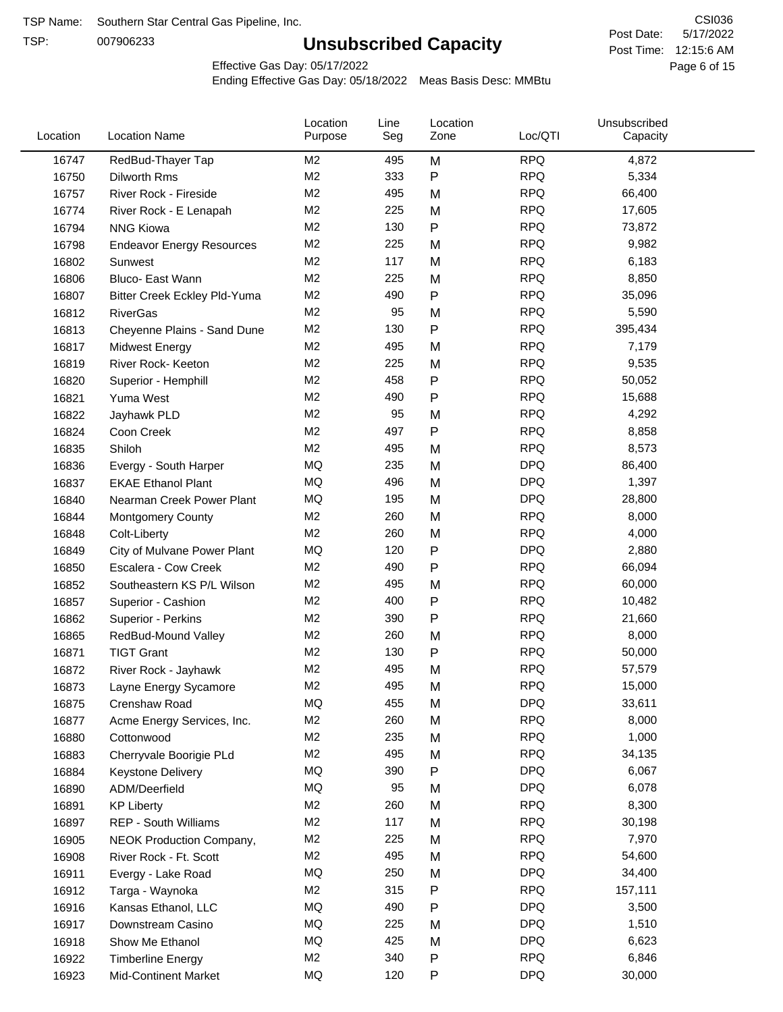TSP:

# **Unsubscribed Capacity**

5/17/2022 Page 6 of 15 Post Time: 12:15:6 AM CSI036 Post Date:

Unsubscribed

Effective Gas Day: 05/17/2022

Location

Ending Effective Gas Day: 05/18/2022 Meas Basis Desc: MMBtu

Line

Location

| Location | <b>Location Name</b>             | Purpose        | Seg | Zone         | Loc/QTI    | Capacity |  |
|----------|----------------------------------|----------------|-----|--------------|------------|----------|--|
| 16747    | RedBud-Thayer Tap                | M <sub>2</sub> | 495 | M            | <b>RPQ</b> | 4,872    |  |
| 16750    | Dilworth Rms                     | M <sub>2</sub> | 333 | P            | <b>RPQ</b> | 5,334    |  |
| 16757    | River Rock - Fireside            | M <sub>2</sub> | 495 | M            | <b>RPQ</b> | 66,400   |  |
| 16774    | River Rock - E Lenapah           | M <sub>2</sub> | 225 | M            | <b>RPQ</b> | 17,605   |  |
| 16794    | <b>NNG Kiowa</b>                 | M <sub>2</sub> | 130 | P            | <b>RPQ</b> | 73,872   |  |
| 16798    | <b>Endeavor Energy Resources</b> | M <sub>2</sub> | 225 | M            | <b>RPQ</b> | 9,982    |  |
| 16802    | Sunwest                          | M <sub>2</sub> | 117 | M            | <b>RPQ</b> | 6,183    |  |
| 16806    | Bluco- East Wann                 | M <sub>2</sub> | 225 | M            | <b>RPQ</b> | 8,850    |  |
| 16807    | Bitter Creek Eckley Pld-Yuma     | M <sub>2</sub> | 490 | P            | <b>RPQ</b> | 35,096   |  |
| 16812    | <b>RiverGas</b>                  | M <sub>2</sub> | 95  | M            | <b>RPQ</b> | 5,590    |  |
| 16813    | Cheyenne Plains - Sand Dune      | M <sub>2</sub> | 130 | P            | <b>RPQ</b> | 395,434  |  |
| 16817    | <b>Midwest Energy</b>            | M <sub>2</sub> | 495 | M            | <b>RPQ</b> | 7,179    |  |
| 16819    | River Rock- Keeton               | M <sub>2</sub> | 225 | M            | <b>RPQ</b> | 9,535    |  |
| 16820    | Superior - Hemphill              | M <sub>2</sub> | 458 | Ρ            | <b>RPQ</b> | 50,052   |  |
| 16821    | Yuma West                        | M <sub>2</sub> | 490 | $\mathsf{P}$ | <b>RPQ</b> | 15,688   |  |
| 16822    | Jayhawk PLD                      | M <sub>2</sub> | 95  | M            | <b>RPQ</b> | 4,292    |  |
| 16824    | Coon Creek                       | M <sub>2</sub> | 497 | P            | <b>RPQ</b> | 8,858    |  |
| 16835    | Shiloh                           | M <sub>2</sub> | 495 | M            | <b>RPQ</b> | 8,573    |  |
| 16836    | Evergy - South Harper            | MQ             | 235 | M            | <b>DPQ</b> | 86,400   |  |
| 16837    | <b>EKAE Ethanol Plant</b>        | MQ             | 496 | M            | <b>DPQ</b> | 1,397    |  |
| 16840    | Nearman Creek Power Plant        | MQ             | 195 | M            | <b>DPQ</b> | 28,800   |  |
| 16844    | <b>Montgomery County</b>         | M <sub>2</sub> | 260 | M            | <b>RPQ</b> | 8,000    |  |
| 16848    | Colt-Liberty                     | M <sub>2</sub> | 260 | M            | <b>RPQ</b> | 4,000    |  |
| 16849    | City of Mulvane Power Plant      | MQ             | 120 | $\mathsf{P}$ | <b>DPQ</b> | 2,880    |  |
| 16850    | Escalera - Cow Creek             | M <sub>2</sub> | 490 | Ρ            | <b>RPQ</b> | 66,094   |  |
| 16852    | Southeastern KS P/L Wilson       | M <sub>2</sub> | 495 | M            | <b>RPQ</b> | 60,000   |  |
| 16857    | Superior - Cashion               | M <sub>2</sub> | 400 | Ρ            | <b>RPQ</b> | 10,482   |  |
| 16862    | Superior - Perkins               | M <sub>2</sub> | 390 | $\mathsf{P}$ | <b>RPQ</b> | 21,660   |  |
| 16865    | RedBud-Mound Valley              | M <sub>2</sub> | 260 | M            | <b>RPQ</b> | 8,000    |  |
| 16871    | <b>TIGT Grant</b>                | M <sub>2</sub> | 130 | Ρ            | <b>RPQ</b> | 50,000   |  |
| 16872    | River Rock - Jayhawk             | M <sub>2</sub> | 495 | M            | <b>RPQ</b> | 57,579   |  |
| 16873    | Layne Energy Sycamore            | M <sub>2</sub> | 495 | M            | <b>RPQ</b> | 15,000   |  |
| 16875    | Crenshaw Road                    | MQ             | 455 | M            | <b>DPQ</b> | 33,611   |  |
| 16877    | Acme Energy Services, Inc.       | M <sub>2</sub> | 260 | M            | <b>RPQ</b> | 8,000    |  |
| 16880    | Cottonwood                       | M <sub>2</sub> | 235 | M            | <b>RPQ</b> | 1,000    |  |
| 16883    | Cherryvale Boorigie PLd          | M <sub>2</sub> | 495 | M            | <b>RPQ</b> | 34,135   |  |
| 16884    | <b>Keystone Delivery</b>         | MQ             | 390 | Ρ            | <b>DPQ</b> | 6,067    |  |
| 16890    | ADM/Deerfield                    | MQ             | 95  | M            | <b>DPQ</b> | 6,078    |  |
| 16891    | <b>KP Liberty</b>                | M <sub>2</sub> | 260 | M            | <b>RPQ</b> | 8,300    |  |
| 16897    | REP - South Williams             | M <sub>2</sub> | 117 | M            | <b>RPQ</b> | 30,198   |  |
| 16905    | NEOK Production Company,         | M <sub>2</sub> | 225 | M            | <b>RPQ</b> | 7,970    |  |
| 16908    | River Rock - Ft. Scott           | M <sub>2</sub> | 495 | M            | <b>RPQ</b> | 54,600   |  |
| 16911    | Evergy - Lake Road               | MQ             | 250 | M            | <b>DPQ</b> | 34,400   |  |
| 16912    | Targa - Waynoka                  | M <sub>2</sub> | 315 | Ρ            | <b>RPQ</b> | 157,111  |  |
| 16916    | Kansas Ethanol, LLC              | MQ             | 490 | Ρ            | <b>DPQ</b> | 3,500    |  |
| 16917    | Downstream Casino                | MQ             | 225 | M            | <b>DPQ</b> | 1,510    |  |
| 16918    | Show Me Ethanol                  | MQ             | 425 | M            | <b>DPQ</b> | 6,623    |  |
| 16922    | <b>Timberline Energy</b>         | M <sub>2</sub> | 340 | P            | <b>RPQ</b> | 6,846    |  |
| 16923    | <b>Mid-Continent Market</b>      | MQ             | 120 | Ρ            | <b>DPQ</b> | 30,000   |  |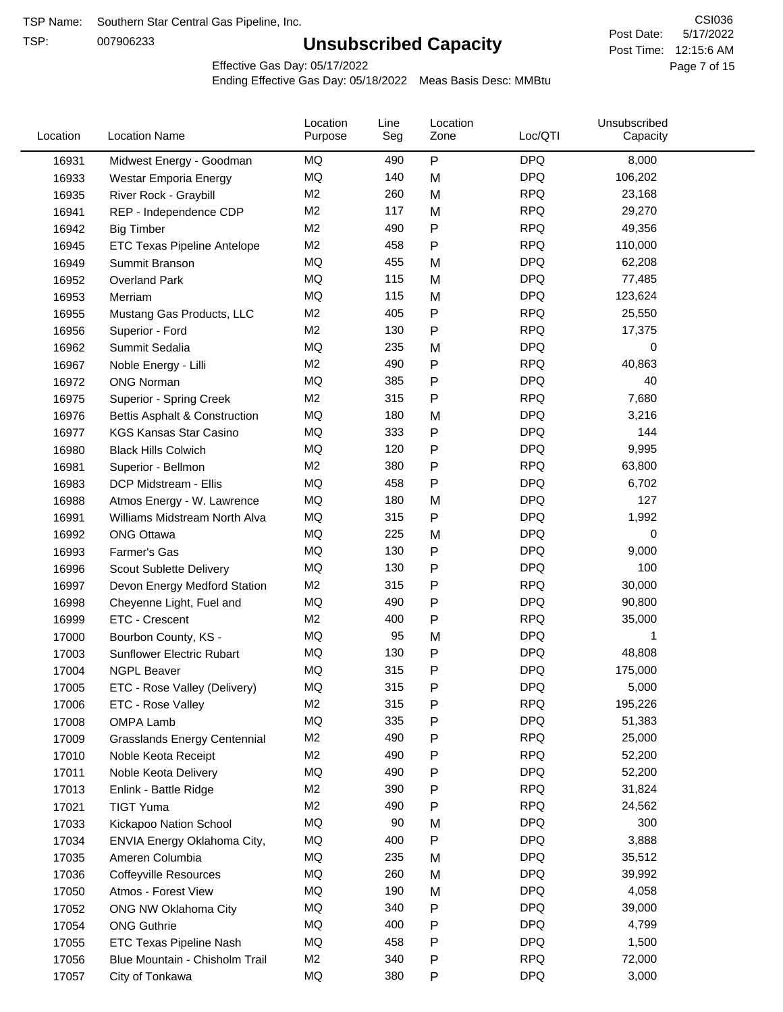TSP:

# **Unsubscribed Capacity**

5/17/2022 Page 7 of 15 Post Time: 12:15:6 AM CSI036 Post Date:

Effective Gas Day: 05/17/2022

| Location | <b>Location Name</b>           | Location<br>Purpose | Line<br>Seg | Location<br>Zone | Loc/QTI    | Unsubscribed<br>Capacity |  |
|----------|--------------------------------|---------------------|-------------|------------------|------------|--------------------------|--|
| 16931    | Midwest Energy - Goodman       | MQ                  | 490         | ${\sf P}$        | <b>DPQ</b> | 8,000                    |  |
| 16933    | Westar Emporia Energy          | MQ                  | 140         | M                | <b>DPQ</b> | 106,202                  |  |
| 16935    | River Rock - Graybill          | M <sub>2</sub>      | 260         | M                | <b>RPQ</b> | 23,168                   |  |
| 16941    | REP - Independence CDP         | M <sub>2</sub>      | 117         | M                | <b>RPQ</b> | 29,270                   |  |
| 16942    | <b>Big Timber</b>              | M <sub>2</sub>      | 490         | P                | <b>RPQ</b> | 49,356                   |  |
| 16945    | ETC Texas Pipeline Antelope    | M <sub>2</sub>      | 458         | $\mathsf{P}$     | <b>RPQ</b> | 110,000                  |  |
| 16949    | Summit Branson                 | MQ                  | 455         | M                | <b>DPQ</b> | 62,208                   |  |
| 16952    | <b>Overland Park</b>           | MQ                  | 115         | M                | <b>DPQ</b> | 77,485                   |  |
| 16953    | Merriam                        | MQ                  | 115         | M                | <b>DPQ</b> | 123,624                  |  |
| 16955    | Mustang Gas Products, LLC      | M <sub>2</sub>      | 405         | P                | <b>RPQ</b> | 25,550                   |  |
| 16956    | Superior - Ford                | M <sub>2</sub>      | 130         | P                | <b>RPQ</b> | 17,375                   |  |
| 16962    | Summit Sedalia                 | MQ                  | 235         | M                | <b>DPQ</b> | 0                        |  |
| 16967    | Noble Energy - Lilli           | M <sub>2</sub>      | 490         | P                | <b>RPQ</b> | 40,863                   |  |
| 16972    | <b>ONG Norman</b>              | <b>MQ</b>           | 385         | P                | <b>DPQ</b> | 40                       |  |
| 16975    | Superior - Spring Creek        | M <sub>2</sub>      | 315         | $\mathsf{P}$     | <b>RPQ</b> | 7,680                    |  |
| 16976    | Bettis Asphalt & Construction  | MQ                  | 180         | M                | <b>DPQ</b> | 3,216                    |  |
| 16977    | <b>KGS Kansas Star Casino</b>  | MQ                  | 333         | $\mathsf{P}$     | <b>DPQ</b> | 144                      |  |
| 16980    | <b>Black Hills Colwich</b>     | MQ                  | 120         | P                | <b>DPQ</b> | 9,995                    |  |
| 16981    | Superior - Bellmon             | M <sub>2</sub>      | 380         | P                | <b>RPQ</b> | 63,800                   |  |
| 16983    | DCP Midstream - Ellis          | MQ                  | 458         | P                | <b>DPQ</b> | 6,702                    |  |
| 16988    | Atmos Energy - W. Lawrence     | MQ                  | 180         | M                | <b>DPQ</b> | 127                      |  |
| 16991    | Williams Midstream North Alva  | MQ                  | 315         | $\mathsf{P}$     | <b>DPQ</b> | 1,992                    |  |
| 16992    | <b>ONG Ottawa</b>              | <b>MQ</b>           | 225         | M                | <b>DPQ</b> | 0                        |  |
| 16993    | Farmer's Gas                   | MQ                  | 130         | P                | <b>DPQ</b> | 9,000                    |  |
| 16996    | Scout Sublette Delivery        | MQ                  | 130         | $\mathsf{P}$     | <b>DPQ</b> | 100                      |  |
| 16997    | Devon Energy Medford Station   | M <sub>2</sub>      | 315         | $\mathsf{P}$     | <b>RPQ</b> | 30,000                   |  |
| 16998    | Cheyenne Light, Fuel and       | MQ                  | 490         | P                | <b>DPQ</b> | 90,800                   |  |
| 16999    | ETC - Crescent                 | M <sub>2</sub>      | 400         | P                | <b>RPQ</b> | 35,000                   |  |
| 17000    | Bourbon County, KS -           | MQ                  | 95          | M                | <b>DPQ</b> | 1                        |  |
| 17003    | Sunflower Electric Rubart      | MQ                  | 130         | P                | <b>DPQ</b> | 48,808                   |  |
| 17004    | <b>NGPL Beaver</b>             | MQ                  | 315         | Ρ                | <b>DPQ</b> | 175,000                  |  |
| 17005    | ETC - Rose Valley (Delivery)   | MQ                  | 315         | P                | <b>DPQ</b> | 5,000                    |  |
| 17006    | ETC - Rose Valley              | M2                  | 315         | P                | <b>RPQ</b> | 195,226                  |  |
| 17008    | OMPA Lamb                      | MQ                  | 335         | P                | <b>DPQ</b> | 51,383                   |  |
| 17009    | Grasslands Energy Centennial   | M <sub>2</sub>      | 490         | P                | <b>RPQ</b> | 25,000                   |  |
| 17010    | Noble Keota Receipt            | M <sub>2</sub>      | 490         | $\mathsf{P}$     | <b>RPQ</b> | 52,200                   |  |
| 17011    | Noble Keota Delivery           | <b>MQ</b>           | 490         | P                | <b>DPQ</b> | 52,200                   |  |
| 17013    | Enlink - Battle Ridge          | M <sub>2</sub>      | 390         | $\mathsf{P}$     | <b>RPQ</b> | 31,824                   |  |
| 17021    | <b>TIGT Yuma</b>               | M <sub>2</sub>      | 490         | $\mathsf{P}$     | <b>RPQ</b> | 24,562                   |  |
| 17033    | Kickapoo Nation School         | MQ                  | 90          | M                | <b>DPQ</b> | 300                      |  |
| 17034    | ENVIA Energy Oklahoma City,    | MQ                  | 400         | ${\sf P}$        | <b>DPQ</b> | 3,888                    |  |
| 17035    | Ameren Columbia                | MQ                  | 235         | M                | <b>DPQ</b> | 35,512                   |  |
| 17036    | <b>Coffeyville Resources</b>   | MQ                  | 260         | M                | <b>DPQ</b> | 39,992                   |  |
| 17050    | Atmos - Forest View            | MQ                  | 190         | M                | <b>DPQ</b> | 4,058                    |  |
| 17052    | ONG NW Oklahoma City           | MQ                  | 340         | Ρ                | <b>DPQ</b> | 39,000                   |  |
| 17054    | <b>ONG Guthrie</b>             | MQ                  | 400         | P                | <b>DPQ</b> | 4,799                    |  |
| 17055    | ETC Texas Pipeline Nash        | MQ                  | 458         | P                | <b>DPQ</b> | 1,500                    |  |
| 17056    | Blue Mountain - Chisholm Trail | M <sub>2</sub>      | 340         | P                | <b>RPQ</b> | 72,000                   |  |
| 17057    | City of Tonkawa                | MQ                  | 380         | P                | <b>DPQ</b> | 3,000                    |  |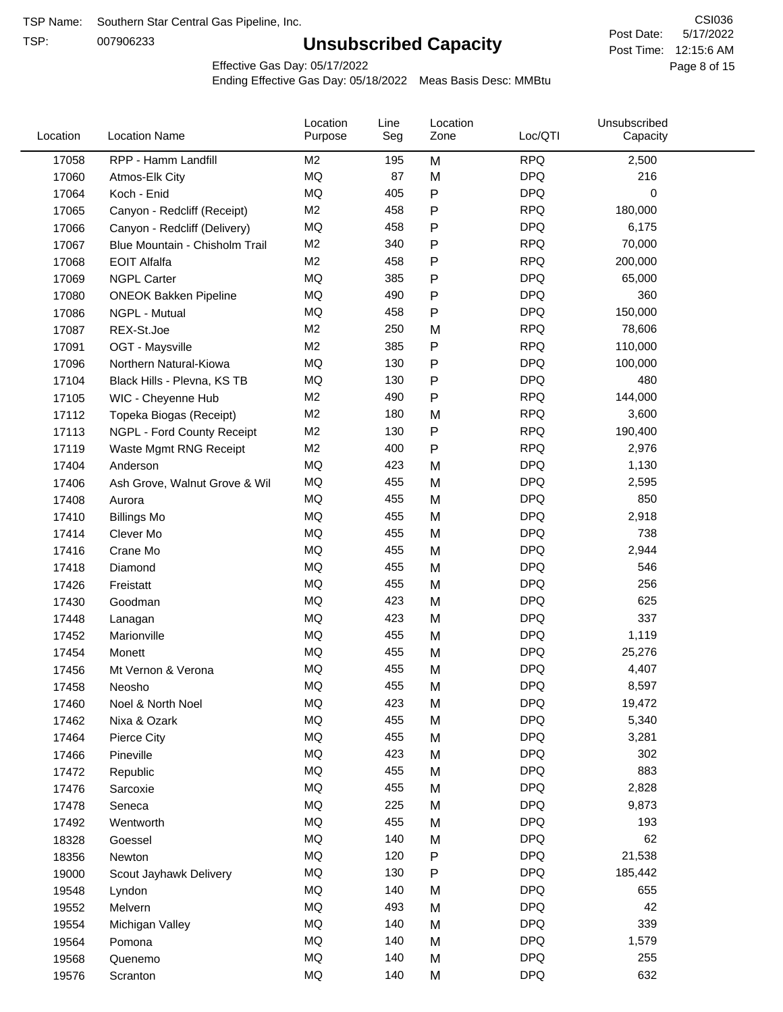TSP:

# **Unsubscribed Capacity**

5/17/2022 Page 8 of 15 Post Time: 12:15:6 AM CSI036 Post Date:

Effective Gas Day: 05/17/2022

| Location | <b>Location Name</b>           | Location<br>Purpose | Line<br>Seg | Location<br>Zone | Loc/QTI    | Unsubscribed<br>Capacity |  |
|----------|--------------------------------|---------------------|-------------|------------------|------------|--------------------------|--|
| 17058    | RPP - Hamm Landfill            | M2                  | 195         | M                | <b>RPQ</b> | 2,500                    |  |
| 17060    | Atmos-Elk City                 | MQ                  | 87          | M                | <b>DPQ</b> | 216                      |  |
| 17064    | Koch - Enid                    | MQ                  | 405         | P                | <b>DPQ</b> | 0                        |  |
| 17065    | Canyon - Redcliff (Receipt)    | M <sub>2</sub>      | 458         | Ρ                | <b>RPQ</b> | 180,000                  |  |
| 17066    | Canyon - Redcliff (Delivery)   | <b>MQ</b>           | 458         | Ρ                | <b>DPQ</b> | 6,175                    |  |
| 17067    | Blue Mountain - Chisholm Trail | M <sub>2</sub>      | 340         | Ρ                | <b>RPQ</b> | 70,000                   |  |
| 17068    | <b>EOIT Alfalfa</b>            | M <sub>2</sub>      | 458         | Ρ                | <b>RPQ</b> | 200,000                  |  |
| 17069    | <b>NGPL Carter</b>             | <b>MQ</b>           | 385         | Ρ                | <b>DPQ</b> | 65,000                   |  |
| 17080    | <b>ONEOK Bakken Pipeline</b>   | MQ                  | 490         | Ρ                | <b>DPQ</b> | 360                      |  |
| 17086    | NGPL - Mutual                  | MQ                  | 458         | P                | <b>DPQ</b> | 150,000                  |  |
| 17087    | REX-St.Joe                     | M <sub>2</sub>      | 250         | M                | <b>RPQ</b> | 78,606                   |  |
| 17091    | OGT - Maysville                | M2                  | 385         | Ρ                | <b>RPQ</b> | 110,000                  |  |
| 17096    | Northern Natural-Kiowa         | <b>MQ</b>           | 130         | Ρ                | <b>DPQ</b> | 100,000                  |  |
| 17104    | Black Hills - Plevna, KS TB    | <b>MQ</b>           | 130         | Ρ                | <b>DPQ</b> | 480                      |  |
| 17105    | WIC - Cheyenne Hub             | M <sub>2</sub>      | 490         | P                | <b>RPQ</b> | 144,000                  |  |
| 17112    | Topeka Biogas (Receipt)        | M <sub>2</sub>      | 180         | M                | <b>RPQ</b> | 3,600                    |  |
| 17113    | NGPL - Ford County Receipt     | M <sub>2</sub>      | 130         | $\mathsf{P}$     | <b>RPQ</b> | 190,400                  |  |
| 17119    | Waste Mgmt RNG Receipt         | M2                  | 400         | P                | <b>RPQ</b> | 2,976                    |  |
| 17404    | Anderson                       | <b>MQ</b>           | 423         | M                | <b>DPQ</b> | 1,130                    |  |
| 17406    | Ash Grove, Walnut Grove & Wil  | MQ                  | 455         | M                | <b>DPQ</b> | 2,595                    |  |
| 17408    | Aurora                         | MQ                  | 455         | M                | <b>DPQ</b> | 850                      |  |
| 17410    | <b>Billings Mo</b>             | MQ                  | 455         | M                | <b>DPQ</b> | 2,918                    |  |
| 17414    | Clever Mo                      | MQ                  | 455         | M                | <b>DPQ</b> | 738                      |  |
| 17416    | Crane Mo                       | <b>MQ</b>           | 455         | M                | <b>DPQ</b> | 2,944                    |  |
| 17418    | Diamond                        | MQ                  | 455         | M                | <b>DPQ</b> | 546                      |  |
| 17426    | Freistatt                      | MQ                  | 455         | M                | <b>DPQ</b> | 256                      |  |
| 17430    | Goodman                        | MQ                  | 423         | M                | <b>DPQ</b> | 625                      |  |
| 17448    | Lanagan                        | <b>MQ</b>           | 423         | M                | <b>DPQ</b> | 337                      |  |
| 17452    | Marionville                    | <b>MQ</b>           | 455         | M                | <b>DPQ</b> | 1,119                    |  |
| 17454    | Monett                         | MQ                  | 455         | M                | <b>DPQ</b> | 25,276                   |  |
| 17456    | Mt Vernon & Verona             | <b>MQ</b>           | 455         | M                | <b>DPQ</b> | 4,407                    |  |
| 17458    | Neosho                         | MQ                  | 455         | M                | <b>DPQ</b> | 8,597                    |  |
| 17460    | Noel & North Noel              | MQ                  | 423         | M                | <b>DPQ</b> | 19,472                   |  |
| 17462    | Nixa & Ozark                   | MQ                  | 455         | M                | <b>DPQ</b> | 5,340                    |  |
| 17464    | Pierce City                    | MQ                  | 455         | M                | <b>DPQ</b> | 3,281                    |  |
| 17466    | Pineville                      | MQ                  | 423         | M                | <b>DPQ</b> | 302                      |  |
| 17472    | Republic                       | MQ                  | 455         | M                | <b>DPQ</b> | 883                      |  |
| 17476    | Sarcoxie                       | MQ                  | 455         | M                | <b>DPQ</b> | 2,828                    |  |
| 17478    | Seneca                         | MQ                  | 225         | M                | <b>DPQ</b> | 9,873                    |  |
| 17492    | Wentworth                      | MQ                  | 455         | M                | <b>DPQ</b> | 193                      |  |
| 18328    | Goessel                        | MQ                  | 140         | M                | <b>DPQ</b> | 62                       |  |
| 18356    | Newton                         | MQ                  | 120         | Ρ                | <b>DPQ</b> | 21,538                   |  |
| 19000    | Scout Jayhawk Delivery         | $\sf{MQ}$           | 130         | Ρ                | <b>DPQ</b> | 185,442                  |  |
| 19548    | Lyndon                         | MQ                  | 140         | M                | <b>DPQ</b> | 655                      |  |
| 19552    | Melvern                        | MQ                  | 493         | M                | <b>DPQ</b> | 42                       |  |
| 19554    | Michigan Valley                | MQ                  | 140         | M                | <b>DPQ</b> | 339                      |  |
| 19564    | Pomona                         | MQ                  | 140         | M                | <b>DPQ</b> | 1,579                    |  |
| 19568    | Quenemo                        | MQ                  | 140         | M                | <b>DPQ</b> | 255                      |  |
| 19576    | Scranton                       | $\sf{MQ}$           | 140         | M                | <b>DPQ</b> | 632                      |  |
|          |                                |                     |             |                  |            |                          |  |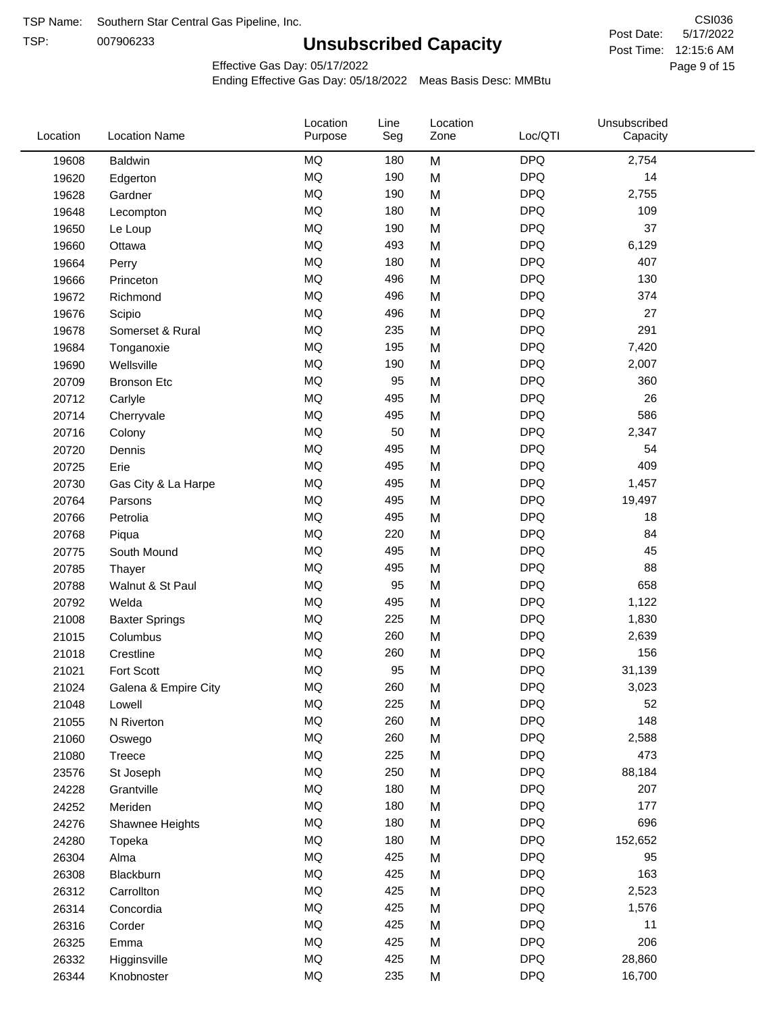TSP:

# **Unsubscribed Capacity**

5/17/2022 Page 9 of 15 Post Time: 12:15:6 AM CSI036 Post Date:

Effective Gas Day: 05/17/2022

| Location | <b>Location Name</b>  | Location<br>Purpose | Line<br>Seg | Location<br>Zone | Loc/QTI    | Unsubscribed<br>Capacity |  |
|----------|-----------------------|---------------------|-------------|------------------|------------|--------------------------|--|
| 19608    | <b>Baldwin</b>        | <b>MQ</b>           | 180         | M                | <b>DPQ</b> | 2,754                    |  |
| 19620    | Edgerton              | <b>MQ</b>           | 190         | M                | <b>DPQ</b> | 14                       |  |
| 19628    | Gardner               | <b>MQ</b>           | 190         | M                | <b>DPQ</b> | 2,755                    |  |
| 19648    | Lecompton             | <b>MQ</b>           | 180         | M                | <b>DPQ</b> | 109                      |  |
| 19650    | Le Loup               | <b>MQ</b>           | 190         | M                | <b>DPQ</b> | 37                       |  |
| 19660    | Ottawa                | <b>MQ</b>           | 493         | M                | <b>DPQ</b> | 6,129                    |  |
| 19664    | Perry                 | <b>MQ</b>           | 180         | M                | <b>DPQ</b> | 407                      |  |
| 19666    | Princeton             | MQ                  | 496         | M                | <b>DPQ</b> | 130                      |  |
| 19672    | Richmond              | <b>MQ</b>           | 496         | M                | <b>DPQ</b> | 374                      |  |
| 19676    | Scipio                | MQ                  | 496         | M                | <b>DPQ</b> | 27                       |  |
| 19678    | Somerset & Rural      | MQ                  | 235         | M                | <b>DPQ</b> | 291                      |  |
| 19684    | Tonganoxie            | <b>MQ</b>           | 195         | M                | <b>DPQ</b> | 7,420                    |  |
| 19690    | Wellsville            | MQ                  | 190         | M                | <b>DPQ</b> | 2,007                    |  |
| 20709    | <b>Bronson Etc</b>    | <b>MQ</b>           | 95          | M                | <b>DPQ</b> | 360                      |  |
| 20712    | Carlyle               | <b>MQ</b>           | 495         | M                | <b>DPQ</b> | 26                       |  |
| 20714    | Cherryvale            | <b>MQ</b>           | 495         | M                | <b>DPQ</b> | 586                      |  |
| 20716    | Colony                | MQ                  | 50          | M                | <b>DPQ</b> | 2,347                    |  |
| 20720    | Dennis                | <b>MQ</b>           | 495         | M                | <b>DPQ</b> | 54                       |  |
| 20725    | Erie                  | <b>MQ</b>           | 495         | M                | <b>DPQ</b> | 409                      |  |
| 20730    | Gas City & La Harpe   | MQ                  | 495         | M                | <b>DPQ</b> | 1,457                    |  |
| 20764    | Parsons               | <b>MQ</b>           | 495         | M                | <b>DPQ</b> | 19,497                   |  |
| 20766    | Petrolia              | MQ                  | 495         | M                | <b>DPQ</b> | 18                       |  |
| 20768    | Piqua                 | <b>MQ</b>           | 220         | M                | <b>DPQ</b> | 84                       |  |
| 20775    | South Mound           | <b>MQ</b>           | 495         | M                | <b>DPQ</b> | 45                       |  |
| 20785    | Thayer                | MQ                  | 495         | M                | <b>DPQ</b> | 88                       |  |
| 20788    | Walnut & St Paul      | MQ                  | 95          | M                | <b>DPQ</b> | 658                      |  |
| 20792    | Welda                 | <b>MQ</b>           | 495         | M                | <b>DPQ</b> | 1,122                    |  |
| 21008    | <b>Baxter Springs</b> | MQ                  | 225         | M                | <b>DPQ</b> | 1,830                    |  |
| 21015    | Columbus              | MQ                  | 260         | M                | <b>DPQ</b> | 2,639                    |  |
| 21018    | Crestline             | <b>MQ</b>           | 260         | M                | <b>DPQ</b> | 156                      |  |
| 21021    | Fort Scott            | <b>MQ</b>           | 95          | M                | <b>DPQ</b> | 31,139                   |  |
| 21024    | Galena & Empire City  | <b>MQ</b>           | 260         | M                | <b>DPQ</b> | 3,023                    |  |
| 21048    | Lowell                | MQ                  | 225         | M                | <b>DPQ</b> | 52                       |  |
| 21055    | N Riverton            | MQ                  | 260         | M                | <b>DPQ</b> | 148                      |  |
| 21060    | Oswego                | <b>MQ</b>           | 260         | M                | <b>DPQ</b> | 2,588                    |  |
| 21080    | Treece                | MQ                  | 225         | M                | <b>DPQ</b> | 473                      |  |
| 23576    | St Joseph             | MQ                  | 250         | M                | <b>DPQ</b> | 88,184                   |  |
| 24228    | Grantville            | MQ                  | 180         | M                | <b>DPQ</b> | 207                      |  |
| 24252    | Meriden               | MQ                  | 180         | M                | <b>DPQ</b> | 177                      |  |
| 24276    | Shawnee Heights       | MQ                  | 180         | M                | <b>DPQ</b> | 696                      |  |
| 24280    | Topeka                | MQ                  | 180         | M                | <b>DPQ</b> | 152,652                  |  |
| 26304    | Alma                  | MQ                  | 425         | M                | <b>DPQ</b> | 95                       |  |
| 26308    | Blackburn             | MQ                  | 425         | M                | <b>DPQ</b> | 163                      |  |
| 26312    | Carrollton            | <b>MQ</b>           | 425         | M                | <b>DPQ</b> | 2,523                    |  |
| 26314    | Concordia             | <b>MQ</b>           | 425         | M                | <b>DPQ</b> | 1,576                    |  |
| 26316    | Corder                | MQ                  | 425         | M                | <b>DPQ</b> | 11                       |  |
| 26325    | Emma                  | MQ                  | 425         | M                | <b>DPQ</b> | 206                      |  |
| 26332    | Higginsville          | MQ                  | 425         | M                | <b>DPQ</b> | 28,860                   |  |
| 26344    | Knobnoster            | <b>MQ</b>           | 235         | M                | <b>DPQ</b> | 16,700                   |  |
|          |                       |                     |             |                  |            |                          |  |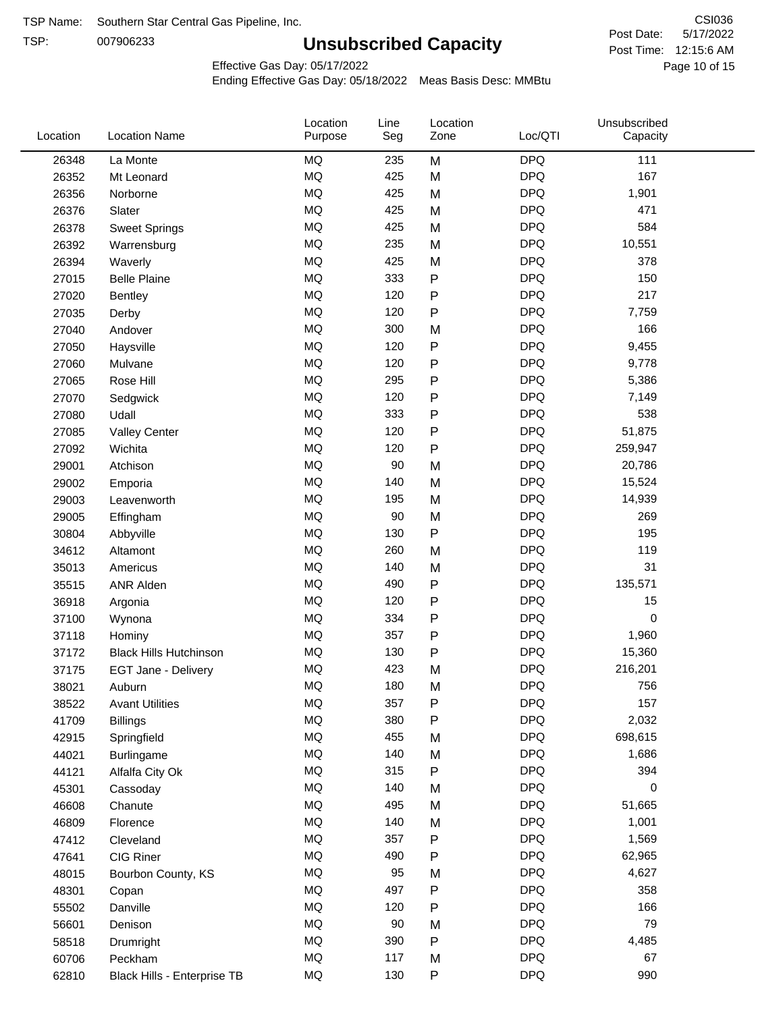TSP:

# **Unsubscribed Capacity**

5/17/2022 Page 10 of 15 Post Time: 12:15:6 AM CSI036 Post Date:

Effective Gas Day: 05/17/2022

| Location | <b>Location Name</b>          | Location<br>Purpose | Line<br>Seg | Location<br>Zone | Loc/QTI    | Unsubscribed<br>Capacity |  |
|----------|-------------------------------|---------------------|-------------|------------------|------------|--------------------------|--|
| 26348    | La Monte                      | <b>MQ</b>           | 235         | M                | <b>DPQ</b> | 111                      |  |
| 26352    | Mt Leonard                    | MQ                  | 425         | M                | <b>DPQ</b> | 167                      |  |
| 26356    | Norborne                      | MQ                  | 425         | M                | <b>DPQ</b> | 1,901                    |  |
| 26376    | Slater                        | MQ                  | 425         | M                | <b>DPQ</b> | 471                      |  |
| 26378    | <b>Sweet Springs</b>          | MQ                  | 425         | M                | <b>DPQ</b> | 584                      |  |
| 26392    | Warrensburg                   | <b>MQ</b>           | 235         | M                | <b>DPQ</b> | 10,551                   |  |
| 26394    | Waverly                       | <b>MQ</b>           | 425         | M                | <b>DPQ</b> | 378                      |  |
| 27015    | <b>Belle Plaine</b>           | <b>MQ</b>           | 333         | P                | <b>DPQ</b> | 150                      |  |
| 27020    | <b>Bentley</b>                | MQ                  | 120         | P                | <b>DPQ</b> | 217                      |  |
| 27035    | Derby                         | <b>MQ</b>           | 120         | $\mathsf{P}$     | <b>DPQ</b> | 7,759                    |  |
| 27040    | Andover                       | <b>MQ</b>           | 300         | M                | <b>DPQ</b> | 166                      |  |
| 27050    | Haysville                     | MQ                  | 120         | $\mathsf{P}$     | <b>DPQ</b> | 9,455                    |  |
| 27060    | Mulvane                       | <b>MQ</b>           | 120         | $\mathsf{P}$     | <b>DPQ</b> | 9,778                    |  |
| 27065    | Rose Hill                     | <b>MQ</b>           | 295         | $\mathsf{P}$     | <b>DPQ</b> | 5,386                    |  |
| 27070    | Sedgwick                      | <b>MQ</b>           | 120         | $\mathsf{P}$     | <b>DPQ</b> | 7,149                    |  |
| 27080    | Udall                         | <b>MQ</b>           | 333         | $\mathsf{P}$     | <b>DPQ</b> | 538                      |  |
| 27085    | <b>Valley Center</b>          | MQ                  | 120         | $\mathsf{P}$     | <b>DPQ</b> | 51,875                   |  |
| 27092    | Wichita                       | <b>MQ</b>           | 120         | $\mathsf{P}$     | <b>DPQ</b> | 259,947                  |  |
| 29001    | Atchison                      | <b>MQ</b>           | 90          | M                | <b>DPQ</b> | 20,786                   |  |
| 29002    | Emporia                       | <b>MQ</b>           | 140         | M                | <b>DPQ</b> | 15,524                   |  |
| 29003    | Leavenworth                   | MQ                  | 195         | M                | <b>DPQ</b> | 14,939                   |  |
| 29005    | Effingham                     | <b>MQ</b>           | 90          | M                | <b>DPQ</b> | 269                      |  |
| 30804    | Abbyville                     | <b>MQ</b>           | 130         | P                | <b>DPQ</b> | 195                      |  |
| 34612    | Altamont                      | <b>MQ</b>           | 260         | M                | <b>DPQ</b> | 119                      |  |
| 35013    | Americus                      | <b>MQ</b>           | 140         | M                | <b>DPQ</b> | 31                       |  |
| 35515    | <b>ANR Alden</b>              | MQ                  | 490         | P                | <b>DPQ</b> | 135,571                  |  |
| 36918    | Argonia                       | MQ                  | 120         | $\mathsf{P}$     | <b>DPQ</b> | 15                       |  |
| 37100    | Wynona                        | <b>MQ</b>           | 334         | $\mathsf{P}$     | <b>DPQ</b> | 0                        |  |
| 37118    | Hominy                        | <b>MQ</b>           | 357         | $\mathsf{P}$     | <b>DPQ</b> | 1,960                    |  |
| 37172    | <b>Black Hills Hutchinson</b> | MQ                  | 130         | P                | <b>DPQ</b> | 15,360                   |  |
| 37175    | <b>EGT Jane - Delivery</b>    | MQ                  | 423         | M                | <b>DPQ</b> | 216,201                  |  |
| 38021    | Auburn                        | MQ                  | 180         | M                | <b>DPQ</b> | 756                      |  |
| 38522    | <b>Avant Utilities</b>        | MQ                  | 357         | $\mathsf{P}$     | <b>DPQ</b> | 157                      |  |
| 41709    | <b>Billings</b>               | $\sf{MQ}$           | 380         | P                | <b>DPQ</b> | 2,032                    |  |
| 42915    | Springfield                   | $\sf{MQ}$           | 455         | M                | <b>DPQ</b> | 698,615                  |  |
| 44021    | <b>Burlingame</b>             | MQ                  | 140         | M                | <b>DPQ</b> | 1,686                    |  |
| 44121    | Alfalfa City Ok               | MQ                  | 315         | P                | <b>DPQ</b> | 394                      |  |
| 45301    | Cassoday                      | MQ                  | 140         | M                | <b>DPQ</b> | 0                        |  |
| 46608    | Chanute                       | MQ                  | 495         | M                | <b>DPQ</b> | 51,665                   |  |
| 46809    | Florence                      | MQ                  | 140         | M                | <b>DPQ</b> | 1,001                    |  |
| 47412    | Cleveland                     | MQ                  | 357         | P                | <b>DPQ</b> | 1,569                    |  |
| 47641    | CIG Riner                     | MQ                  | 490         | P                | <b>DPQ</b> | 62,965                   |  |
| 48015    | Bourbon County, KS            | $\sf{MQ}$           | 95          | M                | <b>DPQ</b> | 4,627                    |  |
| 48301    | Copan                         | MQ                  | 497         | P                | <b>DPQ</b> | 358                      |  |
| 55502    | Danville                      | MQ                  | 120         | P                | <b>DPQ</b> | 166                      |  |
| 56601    | Denison                       | MQ                  | 90          | M                | <b>DPQ</b> | 79                       |  |
| 58518    | Drumright                     | MQ                  | 390         | $\mathsf{P}$     | <b>DPQ</b> | 4,485                    |  |
| 60706    | Peckham                       | MQ                  | 117         | M                | <b>DPQ</b> | 67                       |  |
| 62810    | Black Hills - Enterprise TB   | $\sf{MQ}$           | 130         | $\mathsf{P}$     | <b>DPQ</b> | 990                      |  |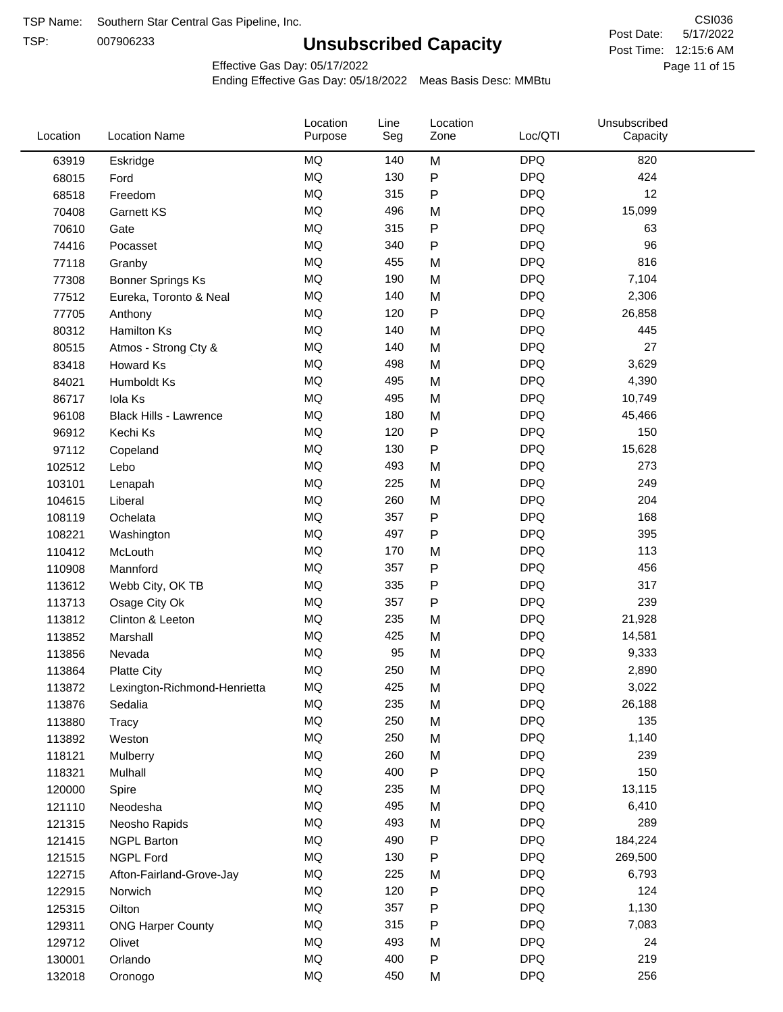TSP:

# **Unsubscribed Capacity**

5/17/2022 Page 11 of 15 Post Time: 12:15:6 AM CSI036 Post Date:

Effective Gas Day: 05/17/2022

| Location | <b>Location Name</b>          | Location<br>Purpose | Line<br>Seg | Location<br>Zone | Loc/QTI    | Unsubscribed<br>Capacity |  |
|----------|-------------------------------|---------------------|-------------|------------------|------------|--------------------------|--|
| 63919    | Eskridge                      | MQ                  | 140         | M                | <b>DPQ</b> | 820                      |  |
| 68015    | Ford                          | MQ                  | 130         | P                | <b>DPQ</b> | 424                      |  |
| 68518    | Freedom                       | MQ                  | 315         | P                | <b>DPQ</b> | 12                       |  |
| 70408    | Garnett KS                    | MQ                  | 496         | M                | <b>DPQ</b> | 15,099                   |  |
| 70610    | Gate                          | <b>MQ</b>           | 315         | P                | <b>DPQ</b> | 63                       |  |
| 74416    | Pocasset                      | MQ                  | 340         | P                | <b>DPQ</b> | 96                       |  |
| 77118    | Granby                        | MQ                  | 455         | M                | <b>DPQ</b> | 816                      |  |
| 77308    | <b>Bonner Springs Ks</b>      | MQ                  | 190         | M                | <b>DPQ</b> | 7,104                    |  |
| 77512    | Eureka, Toronto & Neal        | MQ                  | 140         | M                | <b>DPQ</b> | 2,306                    |  |
| 77705    | Anthony                       | MQ                  | 120         | P                | <b>DPQ</b> | 26,858                   |  |
| 80312    | Hamilton Ks                   | MQ                  | 140         | M                | <b>DPQ</b> | 445                      |  |
| 80515    | Atmos - Strong Cty &          | MQ                  | 140         | M                | <b>DPQ</b> | 27                       |  |
| 83418    | Howard Ks                     | MQ                  | 498         | M                | <b>DPQ</b> | 3,629                    |  |
| 84021    | Humboldt Ks                   | MQ                  | 495         | M                | <b>DPQ</b> | 4,390                    |  |
| 86717    | Iola Ks                       | MQ                  | 495         | M                | <b>DPQ</b> | 10,749                   |  |
| 96108    | <b>Black Hills - Lawrence</b> | MQ                  | 180         | M                | <b>DPQ</b> | 45,466                   |  |
| 96912    | Kechi Ks                      | MQ                  | 120         | P                | <b>DPQ</b> | 150                      |  |
| 97112    | Copeland                      | MQ                  | 130         | Ρ                | <b>DPQ</b> | 15,628                   |  |
| 102512   | Lebo                          | MQ                  | 493         | M                | <b>DPQ</b> | 273                      |  |
| 103101   | Lenapah                       | MQ                  | 225         | M                | <b>DPQ</b> | 249                      |  |
| 104615   | Liberal                       | MQ                  | 260         | M                | <b>DPQ</b> | 204                      |  |
| 108119   | Ochelata                      | MQ                  | 357         | Ρ                | <b>DPQ</b> | 168                      |  |
| 108221   | Washington                    | <b>MQ</b>           | 497         | P                | <b>DPQ</b> | 395                      |  |
| 110412   | McLouth                       | <b>MQ</b>           | 170         | M                | <b>DPQ</b> | 113                      |  |
| 110908   | Mannford                      | MQ                  | 357         | Ρ                | <b>DPQ</b> | 456                      |  |
| 113612   | Webb City, OK TB              | MQ                  | 335         | P                | <b>DPQ</b> | 317                      |  |
| 113713   | Osage City Ok                 | MQ                  | 357         | Ρ                | <b>DPQ</b> | 239                      |  |
| 113812   | Clinton & Leeton              | MQ                  | 235         | M                | <b>DPQ</b> | 21,928                   |  |
| 113852   | Marshall                      | MQ                  | 425         | M                | <b>DPQ</b> | 14,581                   |  |
| 113856   | Nevada                        | MQ                  | 95          | M                | <b>DPQ</b> | 9,333                    |  |
| 113864   | <b>Platte City</b>            | MQ                  | 250         | M                | <b>DPQ</b> | 2,890                    |  |
| 113872   | Lexington-Richmond-Henrietta  | MQ                  | 425         | Μ                | <b>DPQ</b> | 3,022                    |  |
| 113876   | Sedalia                       | MQ                  | 235         | M                | <b>DPQ</b> | 26,188                   |  |
| 113880   | Tracy                         | MQ                  | 250         | M                | <b>DPQ</b> | 135                      |  |
| 113892   | Weston                        | MQ                  | 250         | M                | <b>DPQ</b> | 1,140                    |  |
| 118121   | Mulberry                      | MQ                  | 260         | M                | <b>DPQ</b> | 239                      |  |
| 118321   | Mulhall                       | MQ                  | 400         | P                | <b>DPQ</b> | 150                      |  |
| 120000   | Spire                         | MQ                  | 235         | M                | <b>DPQ</b> | 13,115                   |  |
| 121110   | Neodesha                      | MQ                  | 495         | M                | <b>DPQ</b> | 6,410                    |  |
| 121315   | Neosho Rapids                 | MQ                  | 493         | M                | <b>DPQ</b> | 289                      |  |
| 121415   | <b>NGPL Barton</b>            | MQ                  | 490         | Ρ                | <b>DPQ</b> | 184,224                  |  |
| 121515   | NGPL Ford                     | MQ                  | 130         | Ρ                | <b>DPQ</b> | 269,500                  |  |
| 122715   | Afton-Fairland-Grove-Jay      | MQ                  | 225         | M                | <b>DPQ</b> | 6,793                    |  |
| 122915   | Norwich                       | MQ                  | 120         | Ρ                | <b>DPQ</b> | 124                      |  |
| 125315   | Oilton                        | MQ                  | 357         | Ρ                | <b>DPQ</b> | 1,130                    |  |
| 129311   | <b>ONG Harper County</b>      | MQ                  | 315         | Ρ                | <b>DPQ</b> | 7,083                    |  |
| 129712   | Olivet                        | MQ                  | 493         | M                | <b>DPQ</b> | 24                       |  |
| 130001   | Orlando                       | MQ                  | 400         | Ρ                | <b>DPQ</b> | 219                      |  |
| 132018   | Oronogo                       | MQ                  | 450         | M                | <b>DPQ</b> | 256                      |  |
|          |                               |                     |             |                  |            |                          |  |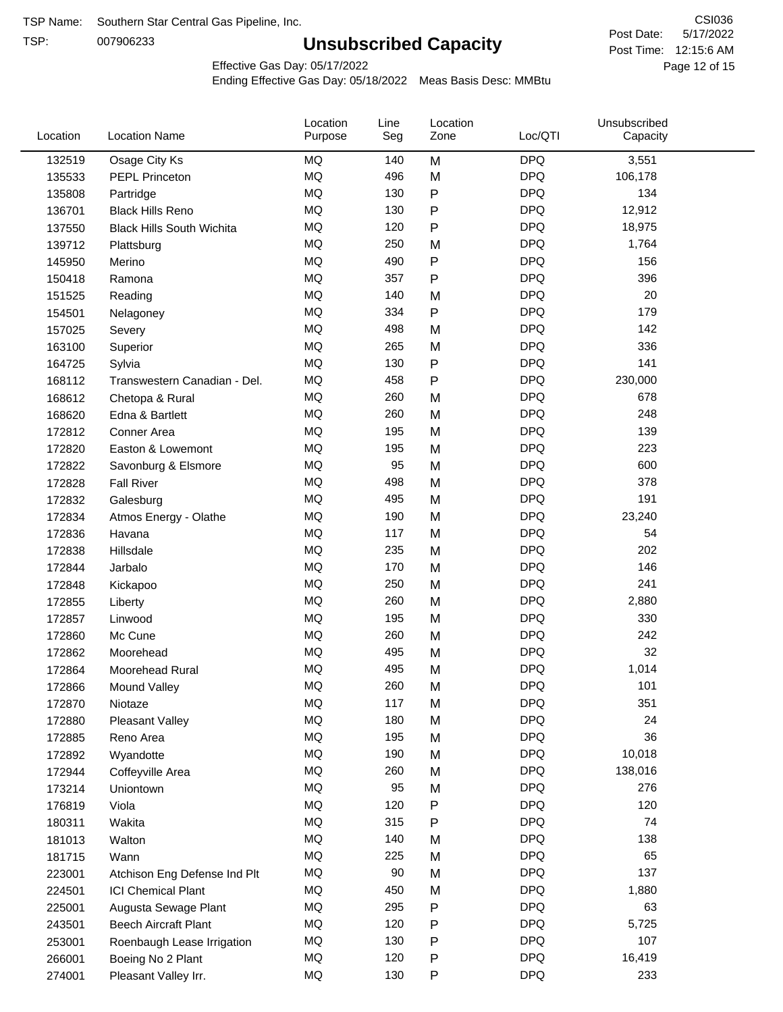TSP:

# **Unsubscribed Capacity**

5/17/2022 Page 12 of 15 Post Time: 12:15:6 AM CSI036 Post Date:

Effective Gas Day: 05/17/2022

| Location | <b>Location Name</b>             | Location<br>Purpose | Line<br>Seg | Location<br>Zone | Loc/QTI    | Unsubscribed<br>Capacity |  |
|----------|----------------------------------|---------------------|-------------|------------------|------------|--------------------------|--|
| 132519   | Osage City Ks                    | <b>MQ</b>           | 140         | M                | <b>DPQ</b> | 3,551                    |  |
| 135533   | <b>PEPL Princeton</b>            | MQ                  | 496         | M                | <b>DPQ</b> | 106,178                  |  |
| 135808   | Partridge                        | <b>MQ</b>           | 130         | P                | <b>DPQ</b> | 134                      |  |
| 136701   | <b>Black Hills Reno</b>          | <b>MQ</b>           | 130         | P                | <b>DPQ</b> | 12,912                   |  |
| 137550   | <b>Black Hills South Wichita</b> | <b>MQ</b>           | 120         | Ρ                | <b>DPQ</b> | 18,975                   |  |
| 139712   | Plattsburg                       | <b>MQ</b>           | 250         | M                | <b>DPQ</b> | 1,764                    |  |
| 145950   | Merino                           | MQ                  | 490         | P                | <b>DPQ</b> | 156                      |  |
| 150418   | Ramona                           | MQ                  | 357         | P                | <b>DPQ</b> | 396                      |  |
| 151525   | Reading                          | <b>MQ</b>           | 140         | M                | <b>DPQ</b> | 20                       |  |
| 154501   | Nelagoney                        | <b>MQ</b>           | 334         | P                | <b>DPQ</b> | 179                      |  |
| 157025   | Severy                           | MQ                  | 498         | M                | <b>DPQ</b> | 142                      |  |
| 163100   | Superior                         | MQ                  | 265         | M                | <b>DPQ</b> | 336                      |  |
| 164725   | Sylvia                           | <b>MQ</b>           | 130         | P                | <b>DPQ</b> | 141                      |  |
| 168112   | Transwestern Canadian - Del.     | <b>MQ</b>           | 458         | Ρ                | <b>DPQ</b> | 230,000                  |  |
| 168612   | Chetopa & Rural                  | <b>MQ</b>           | 260         | M                | <b>DPQ</b> | 678                      |  |
| 168620   | Edna & Bartlett                  | <b>MQ</b>           | 260         | M                | <b>DPQ</b> | 248                      |  |
| 172812   | Conner Area                      | MQ                  | 195         | M                | <b>DPQ</b> | 139                      |  |
| 172820   | Easton & Lowemont                | MQ                  | 195         | M                | <b>DPQ</b> | 223                      |  |
| 172822   | Savonburg & Elsmore              | MQ                  | 95          | M                | <b>DPQ</b> | 600                      |  |
| 172828   | <b>Fall River</b>                | <b>MQ</b>           | 498         | M                | <b>DPQ</b> | 378                      |  |
| 172832   | Galesburg                        | <b>MQ</b>           | 495         | M                | <b>DPQ</b> | 191                      |  |
| 172834   | Atmos Energy - Olathe            | <b>MQ</b>           | 190         | M                | <b>DPQ</b> | 23,240                   |  |
| 172836   | Havana                           | <b>MQ</b>           | 117         | M                | <b>DPQ</b> | 54                       |  |
| 172838   | Hillsdale                        | <b>MQ</b>           | 235         | M                | <b>DPQ</b> | 202                      |  |
| 172844   | Jarbalo                          | <b>MQ</b>           | 170         | M                | <b>DPQ</b> | 146                      |  |
| 172848   | Kickapoo                         | MQ                  | 250         | M                | <b>DPQ</b> | 241                      |  |
| 172855   | Liberty                          | MQ                  | 260         | M                | <b>DPQ</b> | 2,880                    |  |
| 172857   | Linwood                          | <b>MQ</b>           | 195         | M                | <b>DPQ</b> | 330                      |  |
| 172860   | Mc Cune                          | <b>MQ</b>           | 260         | M                | <b>DPQ</b> | 242                      |  |
| 172862   | Moorehead                        | <b>MQ</b>           | 495         | M                | <b>DPQ</b> | 32                       |  |
| 172864   | Moorehead Rural                  | <b>MQ</b>           | 495         | M                | <b>DPQ</b> | 1,014                    |  |
| 172866   | Mound Valley                     | MQ                  | 260         | M                | <b>DPQ</b> | 101                      |  |
| 172870   | Niotaze                          | MQ                  | 117         | M                | <b>DPQ</b> | 351                      |  |
| 172880   | Pleasant Valley                  | $\sf{MQ}$           | 180         | M                | <b>DPQ</b> | 24                       |  |
| 172885   | Reno Area                        | $\sf{MQ}$           | 195         | M                | <b>DPQ</b> | 36                       |  |
| 172892   | Wyandotte                        | $\sf{MQ}$           | 190         | M                | <b>DPQ</b> | 10,018                   |  |
| 172944   | Coffeyville Area                 | MQ                  | 260         | M                | <b>DPQ</b> | 138,016                  |  |
| 173214   | Uniontown                        | MQ                  | 95          | M                | <b>DPQ</b> | 276                      |  |
| 176819   | Viola                            | MQ                  | 120         | P                | <b>DPQ</b> | 120                      |  |
| 180311   | Wakita                           | MQ                  | 315         | Ρ                | <b>DPQ</b> | 74                       |  |
| 181013   | Walton                           | MQ                  | 140         | M                | <b>DPQ</b> | 138                      |  |
| 181715   | Wann                             | MQ                  | 225         | M                | <b>DPQ</b> | 65                       |  |
| 223001   | Atchison Eng Defense Ind Plt     | $\sf{MQ}$           | $90\,$      | M                | <b>DPQ</b> | 137                      |  |
| 224501   | <b>ICI Chemical Plant</b>        | $\sf{MQ}$           | 450         | M                | <b>DPQ</b> | 1,880                    |  |
| 225001   | Augusta Sewage Plant             | MQ                  | 295         | Ρ                | <b>DPQ</b> | 63                       |  |
| 243501   | <b>Beech Aircraft Plant</b>      | MQ                  | 120         | Ρ                | <b>DPQ</b> | 5,725                    |  |
| 253001   | Roenbaugh Lease Irrigation       | MQ                  | 130         | Ρ                | <b>DPQ</b> | 107                      |  |
| 266001   | Boeing No 2 Plant                | MQ                  | 120         | Ρ                | <b>DPQ</b> | 16,419                   |  |
| 274001   | Pleasant Valley Irr.             | MQ                  | 130         | Ρ                | <b>DPQ</b> | 233                      |  |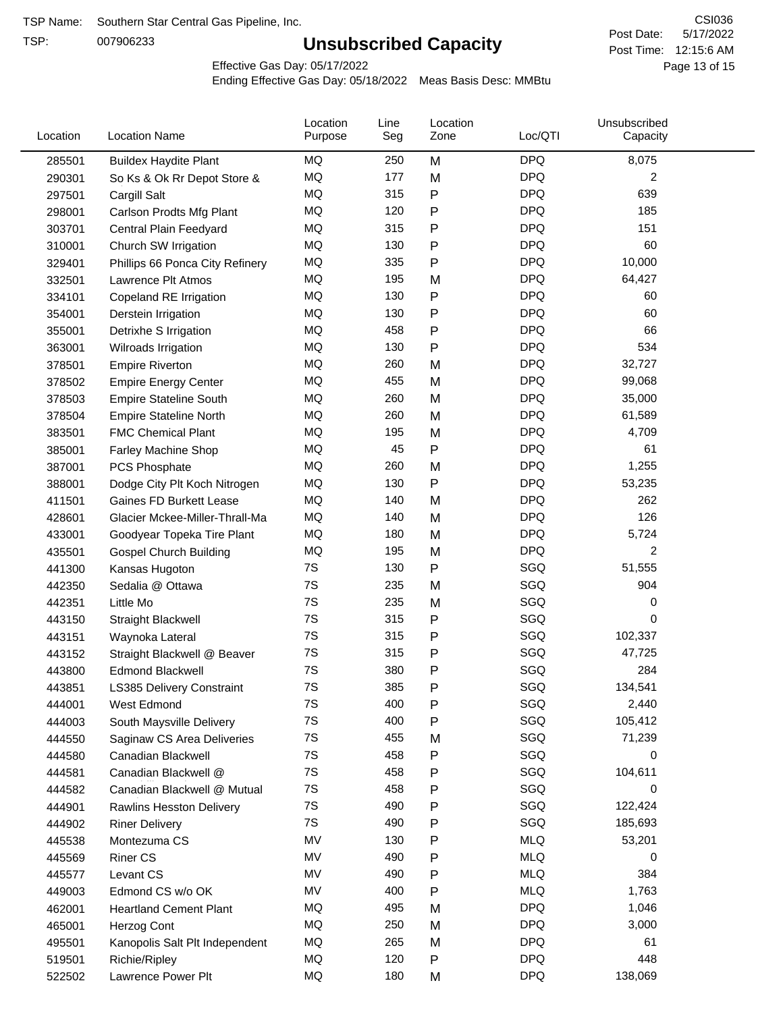TSP:

# **Unsubscribed Capacity**

5/17/2022 Page 13 of 15 Post Time: 12:15:6 AM CSI036 Post Date:

Effective Gas Day: 05/17/2022

| Location | <b>Location Name</b>            | Location<br>Purpose | Line<br>Seg | Location<br>Zone | Loc/QTI    | Unsubscribed<br>Capacity |  |
|----------|---------------------------------|---------------------|-------------|------------------|------------|--------------------------|--|
| 285501   | <b>Buildex Haydite Plant</b>    | MQ                  | 250         | M                | <b>DPQ</b> | 8,075                    |  |
| 290301   | So Ks & Ok Rr Depot Store &     | MQ                  | 177         | M                | <b>DPQ</b> | 2                        |  |
| 297501   | Cargill Salt                    | MQ                  | 315         | Ρ                | <b>DPQ</b> | 639                      |  |
| 298001   | Carlson Prodts Mfg Plant        | <b>MQ</b>           | 120         | Ρ                | <b>DPQ</b> | 185                      |  |
| 303701   | Central Plain Feedyard          | <b>MQ</b>           | 315         | Ρ                | <b>DPQ</b> | 151                      |  |
| 310001   | Church SW Irrigation            | <b>MQ</b>           | 130         | P                | <b>DPQ</b> | 60                       |  |
| 329401   | Phillips 66 Ponca City Refinery | MQ                  | 335         | Ρ                | <b>DPQ</b> | 10,000                   |  |
| 332501   | Lawrence Plt Atmos              | MQ                  | 195         | M                | <b>DPQ</b> | 64,427                   |  |
| 334101   | Copeland RE Irrigation          | <b>MQ</b>           | 130         | P                | <b>DPQ</b> | 60                       |  |
| 354001   | Derstein Irrigation             | MQ                  | 130         | P                | <b>DPQ</b> | 60                       |  |
| 355001   | Detrixhe S Irrigation           | MQ                  | 458         | P                | <b>DPQ</b> | 66                       |  |
| 363001   | Wilroads Irrigation             | MQ                  | 130         | Ρ                | <b>DPQ</b> | 534                      |  |
| 378501   | <b>Empire Riverton</b>          | <b>MQ</b>           | 260         | M                | <b>DPQ</b> | 32,727                   |  |
| 378502   | <b>Empire Energy Center</b>     | <b>MQ</b>           | 455         | M                | <b>DPQ</b> | 99,068                   |  |
| 378503   | <b>Empire Stateline South</b>   | MQ                  | 260         | M                | <b>DPQ</b> | 35,000                   |  |
| 378504   | <b>Empire Stateline North</b>   | MQ                  | 260         | M                | <b>DPQ</b> | 61,589                   |  |
| 383501   | <b>FMC Chemical Plant</b>       | MQ                  | 195         | M                | <b>DPQ</b> | 4,709                    |  |
| 385001   | Farley Machine Shop             | MQ                  | 45          | P                | <b>DPQ</b> | 61                       |  |
| 387001   | PCS Phosphate                   | MQ                  | 260         | M                | <b>DPQ</b> | 1,255                    |  |
| 388001   | Dodge City Plt Koch Nitrogen    | MQ                  | 130         | P                | <b>DPQ</b> | 53,235                   |  |
| 411501   | Gaines FD Burkett Lease         | MQ                  | 140         | M                | <b>DPQ</b> | 262                      |  |
| 428601   | Glacier Mckee-Miller-Thrall-Ma  | <b>MQ</b>           | 140         | M                | <b>DPQ</b> | 126                      |  |
| 433001   | Goodyear Topeka Tire Plant      | <b>MQ</b>           | 180         | M                | <b>DPQ</b> | 5,724                    |  |
| 435501   | <b>Gospel Church Building</b>   | <b>MQ</b>           | 195         | M                | <b>DPQ</b> | $\overline{2}$           |  |
| 441300   | Kansas Hugoton                  | 7S                  | 130         | Ρ                | SGQ        | 51,555                   |  |
| 442350   | Sedalia @ Ottawa                | 7S                  | 235         | M                | SGQ        | 904                      |  |
| 442351   | Little Mo                       | 7S                  | 235         | M                | SGQ        | 0                        |  |
| 443150   | <b>Straight Blackwell</b>       | 7S                  | 315         | P                | SGQ        | 0                        |  |
| 443151   | Waynoka Lateral                 | 7S                  | 315         | P                | SGQ        | 102,337                  |  |
| 443152   | Straight Blackwell @ Beaver     | 7S                  | 315         | P                | SGQ        | 47,725                   |  |
| 443800   | <b>Edmond Blackwell</b>         | 7S                  | 380         | Ρ                | SGQ        | 284                      |  |
| 443851   | LS385 Delivery Constraint       | 7S                  | 385         | Ρ                | SGQ        | 134,541                  |  |
| 444001   | West Edmond                     | 7S                  | 400         | Ρ                | SGQ        | 2,440                    |  |
| 444003   | South Maysville Delivery        | 7S                  | 400         | P                | SGQ        | 105,412                  |  |
| 444550   | Saginaw CS Area Deliveries      | 7S                  | 455         | M                | SGQ        | 71,239                   |  |
| 444580   | Canadian Blackwell              | 7S                  | 458         | Ρ                | SGQ        | 0                        |  |
| 444581   | Canadian Blackwell @            | 7S                  | 458         | Ρ                | SGQ        | 104,611                  |  |
| 444582   | Canadian Blackwell @ Mutual     | 7S                  | 458         | Ρ                | SGQ        | 0                        |  |
| 444901   | Rawlins Hesston Delivery        | 7S                  | 490         | Ρ                | SGQ        | 122,424                  |  |
| 444902   | <b>Riner Delivery</b>           | 7S                  | 490         | Ρ                | SGQ        | 185,693                  |  |
| 445538   | Montezuma CS                    | MV                  | 130         | Ρ                | <b>MLQ</b> | 53,201                   |  |
| 445569   | <b>Riner CS</b>                 | MV                  | 490         | Ρ                | <b>MLQ</b> | 0                        |  |
| 445577   | Levant CS                       | MV                  | 490         | Ρ                | <b>MLQ</b> | 384                      |  |
| 449003   | Edmond CS w/o OK                | MV                  | 400         | Ρ                | <b>MLQ</b> | 1,763                    |  |
| 462001   | <b>Heartland Cement Plant</b>   | MQ                  | 495         | M                | <b>DPQ</b> | 1,046                    |  |
| 465001   | Herzog Cont                     | <b>MQ</b>           | 250         | M                | <b>DPQ</b> | 3,000                    |  |
| 495501   | Kanopolis Salt Plt Independent  | MQ                  | 265         | M                | <b>DPQ</b> | 61                       |  |
| 519501   | Richie/Ripley                   | MQ                  | 120         | Ρ                | <b>DPQ</b> | 448                      |  |
| 522502   | Lawrence Power Plt              | MQ                  | 180         | M                | <b>DPQ</b> | 138,069                  |  |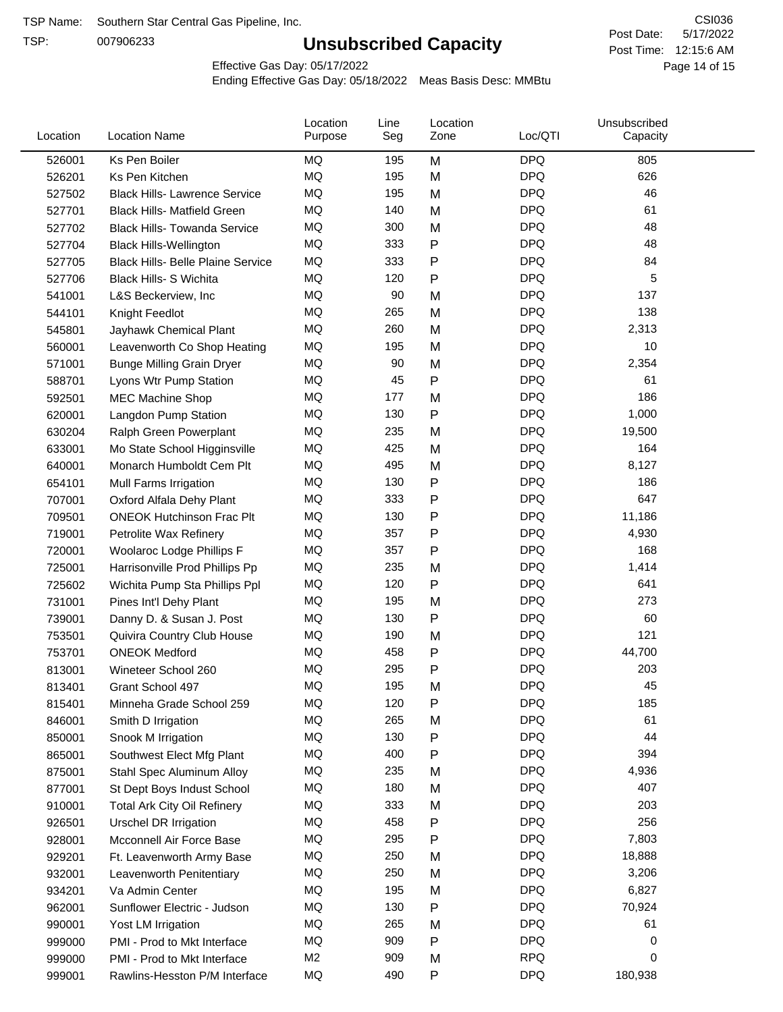TSP:

# **Unsubscribed Capacity**

5/17/2022 Page 14 of 15 Post Time: 12:15:6 AM CSI036 Post Date:

Effective Gas Day: 05/17/2022

| Location         | <b>Location Name</b>                     | Location<br>Purpose | Line<br>Seg | Location<br>Zone | Loc/QTI                  | Unsubscribed<br>Capacity |  |
|------------------|------------------------------------------|---------------------|-------------|------------------|--------------------------|--------------------------|--|
| 526001           | Ks Pen Boiler                            | MQ                  | 195         | M                | <b>DPQ</b>               | 805                      |  |
| 526201           | Ks Pen Kitchen                           | MQ                  | 195         | M                | <b>DPQ</b>               | 626                      |  |
| 527502           | <b>Black Hills- Lawrence Service</b>     | <b>MQ</b>           | 195         | M                | <b>DPQ</b>               | 46                       |  |
| 527701           | <b>Black Hills- Matfield Green</b>       | <b>MQ</b>           | 140         | M                | <b>DPQ</b>               | 61                       |  |
| 527702           | <b>Black Hills- Towanda Service</b>      | MQ                  | 300         | M                | <b>DPQ</b>               | 48                       |  |
| 527704           | <b>Black Hills-Wellington</b>            | MQ                  | 333         | P                | <b>DPQ</b>               | 48                       |  |
| 527705           | <b>Black Hills- Belle Plaine Service</b> | MQ                  | 333         | $\mathsf{P}$     | <b>DPQ</b>               | 84                       |  |
| 527706           | <b>Black Hills- S Wichita</b>            | MQ                  | 120         | P                | <b>DPQ</b>               | 5                        |  |
| 541001           | L&S Beckerview, Inc                      | MQ                  | 90          | M                | <b>DPQ</b>               | 137                      |  |
| 544101           | Knight Feedlot                           | MQ                  | 265         | M                | <b>DPQ</b>               | 138                      |  |
| 545801           | Jayhawk Chemical Plant                   | MQ                  | 260         | M                | <b>DPQ</b>               | 2,313                    |  |
| 560001           | Leavenworth Co Shop Heating              | MQ                  | 195         | M                | <b>DPQ</b>               | 10                       |  |
| 571001           | <b>Bunge Milling Grain Dryer</b>         | MQ                  | 90          | M                | <b>DPQ</b>               | 2,354                    |  |
| 588701           | Lyons Wtr Pump Station                   | MQ                  | 45          | P                | <b>DPQ</b>               | 61                       |  |
| 592501           | <b>MEC Machine Shop</b>                  | MQ                  | 177         | M                | <b>DPQ</b>               | 186                      |  |
| 620001           | Langdon Pump Station                     | MQ                  | 130         | $\mathsf{P}$     | <b>DPQ</b>               | 1,000                    |  |
| 630204           | Ralph Green Powerplant                   | MQ                  | 235         | M                | <b>DPQ</b>               | 19,500                   |  |
| 633001           | Mo State School Higginsville             | MQ                  | 425         | M                | <b>DPQ</b>               | 164                      |  |
| 640001           | Monarch Humboldt Cem Plt                 | MQ                  | 495         | M                | <b>DPQ</b>               | 8,127                    |  |
| 654101           | Mull Farms Irrigation                    | MQ                  | 130         | ${\sf P}$        | <b>DPQ</b>               | 186                      |  |
| 707001           | Oxford Alfala Dehy Plant                 | MQ                  | 333         | P                | <b>DPQ</b>               | 647                      |  |
| 709501           | <b>ONEOK Hutchinson Frac Plt</b>         | <b>MQ</b>           | 130         | P                | <b>DPQ</b>               | 11,186                   |  |
| 719001           | Petrolite Wax Refinery                   | MQ                  | 357         | P                | <b>DPQ</b>               | 4,930                    |  |
| 720001           | Woolaroc Lodge Phillips F                | MQ                  | 357         | $\mathsf{P}$     | <b>DPQ</b>               | 168                      |  |
| 725001           | Harrisonville Prod Phillips Pp           | MQ                  | 235         | M                | <b>DPQ</b>               | 1,414                    |  |
| 725602           | Wichita Pump Sta Phillips Ppl            | MQ                  | 120         | P                | <b>DPQ</b>               | 641                      |  |
| 731001           | Pines Int'l Dehy Plant                   | MQ                  | 195         | M                | <b>DPQ</b>               | 273                      |  |
| 739001           | Danny D. & Susan J. Post                 | MQ                  | 130         | P                | <b>DPQ</b>               | 60                       |  |
| 753501           | Quivira Country Club House               | MQ                  | 190         | M                | <b>DPQ</b>               | 121                      |  |
| 753701           | <b>ONEOK Medford</b>                     | MQ                  | 458         | P                | <b>DPQ</b>               | 44,700                   |  |
| 813001           | Wineteer School 260                      | MQ                  | 295         | P                | <b>DPQ</b>               | 203                      |  |
| 813401           | Grant School 497                         | MQ                  | 195         | M                | <b>DPQ</b>               | 45                       |  |
| 815401           | Minneha Grade School 259                 | MQ                  | 120         | P                | <b>DPQ</b>               | 185                      |  |
| 846001           | Smith D Irrigation                       | MQ                  | 265         | M                | <b>DPQ</b>               | 61                       |  |
| 850001           | Snook M Irrigation                       | MQ                  | 130         | P                | <b>DPQ</b>               | 44                       |  |
| 865001           | Southwest Elect Mfg Plant                | MQ                  | 400         | ${\sf P}$        | <b>DPQ</b>               | 394                      |  |
|                  | Stahl Spec Aluminum Alloy                | MQ                  | 235         | M                | <b>DPQ</b>               | 4,936                    |  |
| 875001<br>877001 | St Dept Boys Indust School               | MQ                  | 180         | M                | <b>DPQ</b>               | 407                      |  |
| 910001           | <b>Total Ark City Oil Refinery</b>       | MQ                  | 333         | M                | <b>DPQ</b>               | 203                      |  |
|                  |                                          | MQ                  | 458         |                  | <b>DPQ</b>               | 256                      |  |
| 926501           | <b>Urschel DR Irrigation</b>             | MQ                  | 295         | P<br>P           | <b>DPQ</b>               | 7,803                    |  |
| 928001           | Mcconnell Air Force Base                 |                     |             |                  |                          |                          |  |
| 929201           | Ft. Leavenworth Army Base                | MQ<br>MQ            | 250         | M                | <b>DPQ</b><br><b>DPQ</b> | 18,888                   |  |
| 932001           | Leavenworth Penitentiary                 |                     | 250         | M                |                          | 3,206                    |  |
| 934201           | Va Admin Center                          | MQ                  | 195         | M                | <b>DPQ</b>               | 6,827                    |  |
| 962001           | Sunflower Electric - Judson              | MQ                  | 130         | ${\sf P}$        | <b>DPQ</b>               | 70,924                   |  |
| 990001           | Yost LM Irrigation                       | MQ                  | 265         | M                | <b>DPQ</b>               | 61                       |  |
| 999000           | PMI - Prod to Mkt Interface              | MQ                  | 909         | P                | <b>DPQ</b>               | 0                        |  |
| 999000           | PMI - Prod to Mkt Interface              | M <sub>2</sub>      | 909         | M                | <b>RPQ</b>               | 0                        |  |
| 999001           | Rawlins-Hesston P/M Interface            | MQ                  | 490         | P                | <b>DPQ</b>               | 180,938                  |  |